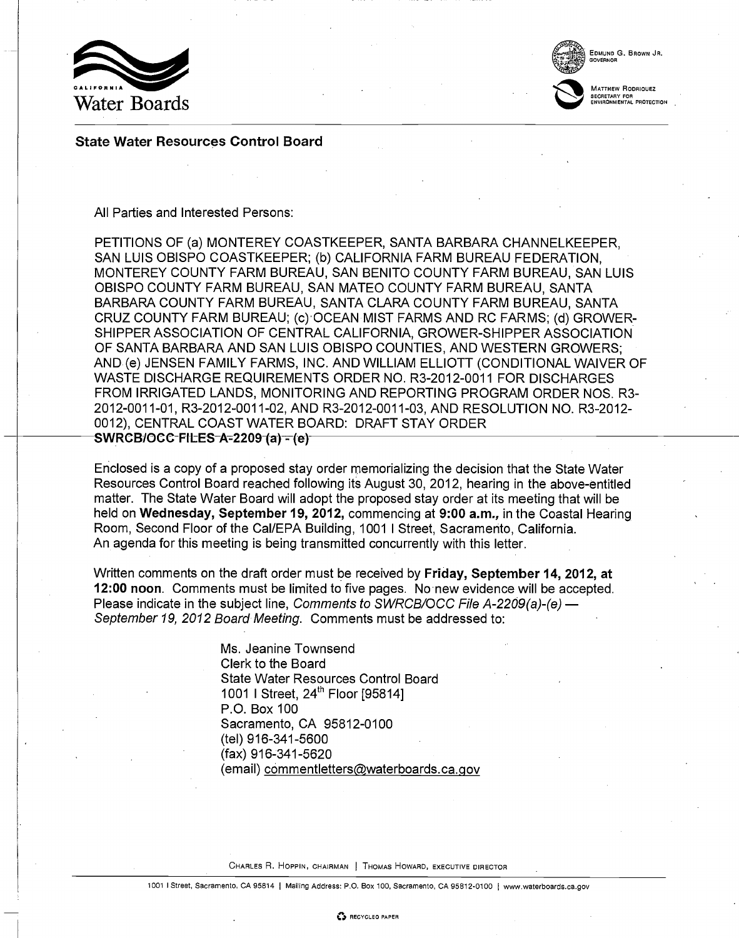



EDMUND G. BROWN JR. GOVERNOR

MATTHEW RODRIQUEZ SECRETARY FOR ENVIRONMENTAL PROTECTION

State Water Resources Control Board

### All Parties and Interested Persons:

PETITIONS OF (a) MONTEREY COASTKEEPER, SANTA BARBARA CHANNELKEEPER, SAN LUIS OBISPO COASTKEEPER; (b) CALIFORNIA FARM BUREAU FEDERATION, MONTEREY COUNTY FARM BUREAU, SAN BENITO COUNTY FARM BUREAU, SAN LUIS OBISPO COUNTY FARM BUREAU, SAN MATEO COUNTY FARM BUREAU, SANTA BARBARA COUNTY FARM BUREAU, SANTA CLARA COUNTY FARM BUREAU, SANTA CRUZ COUNTY FARM BUREAU; (c) OCEAN MIST FARMS AND RC FARMS; (d) GROWER-SHIPPER ASSOCIATION OF CENTRAL CALIFORNIA, GROWER-SHIPPER ASSOCIATION OF SANTA BARBARA AND SAN LUIS OBISPO COUNTIES, AND WESTERN GROWERS; AND (e) JENSEN FAMILY FARMS, INC. AND WILLIAM ELLIOTT (CONDITIONAL WAIVER OF WASTE DISCHARGE REQUIREMENTS ORDER NO. R3-2012-0011 FOR DISCHARGES FROM IRRIGATED LANDS, MONITORING AND REPORTING PROGRAM ORDER NOS. R3- 2012- 0011 -01, R3-2012-0011-02, AND R3-2012-0011-03, AND RESOLUTION NO. R3 -2012- 0012), CENTRAL COAST WATER BOARD: DRAFT STAY ORDER SWRCB/OCC-FILES-A-2209 (a) - (e)

Enclosed is a copy of a proposed stay order memorializing the decision that the State Water Resources Control Board reached following its August 30, 2012, hearing in the above-entitled matter. The State Water Board will adopt the proposed stay order at its meeting that will be held on Wednesday, September 19, 2012, commencing at 9:00 a.m., in the Coastal Hearing Room, Second Floor of the Cal/EPA Building, 1001 I Street, Sacramento, California. An agenda for this meeting is being transmitted concurrently with this letter.

Written comments on the draft order must be received by Friday, September 14, 2012, at 12:00 noon. Comments must be limited to five pages. No new evidence will be accepted. Please indicate in the subject line, Comments to SWRCB/OCC File A-2209(a)-(e)  $-$ September 19, 2012 Board Meeting. Comments must be addressed to:

> Ms. Jeanine Townsend Clerk to the Board State Water Resources Control Board 1001 I Street, 24<sup>th</sup> Floor [95814] P.O. Box 100 Sacramento, CA 95812-0100 (tel) 916-341-5600 (fax) 916-341-5620 (email) commentletters@waterboards.ca.gov

CHARLES R. HOPPIN, CHAIRMAN | THOMAS HOWARD, EXECUTIVE DIRECTOR

1001 I Street, Sacramento, CA 95814 <sup>I</sup> Mailing Address: P.O. Box 100, Sacramento, CA 95812-0100 <sup>I</sup> www.waterboards.ca.gov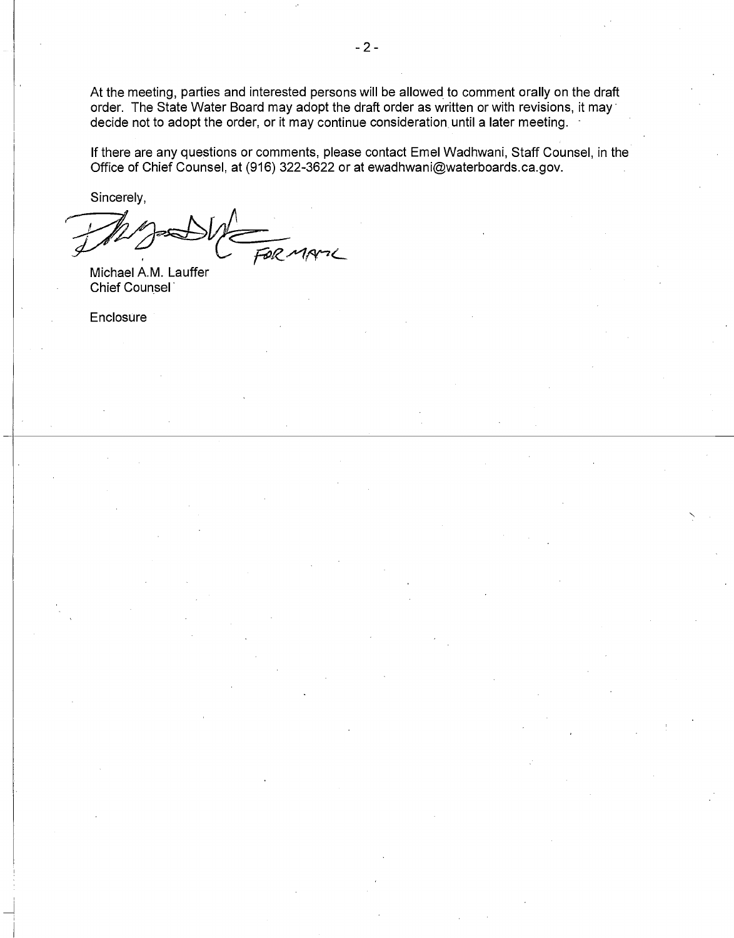At the meeting, parties and interested persons will be allowed to comment orally on the draft order. The State Water Board may adopt the draft order as written or with revisions, it may decide not to adopt the order, or it may continue consideration, until a later meeting.

If there are any questions or comments, please contact Emel Wadhwani, Staff Counsel, in the Office of Chief Counsel, at (916) 322-3622 or at ewadhwani@waterboards.ca.gov.

Sincerely,

FOR MANIC

Michael A.M. Lauffer Chief Counsel'

**Enclosure**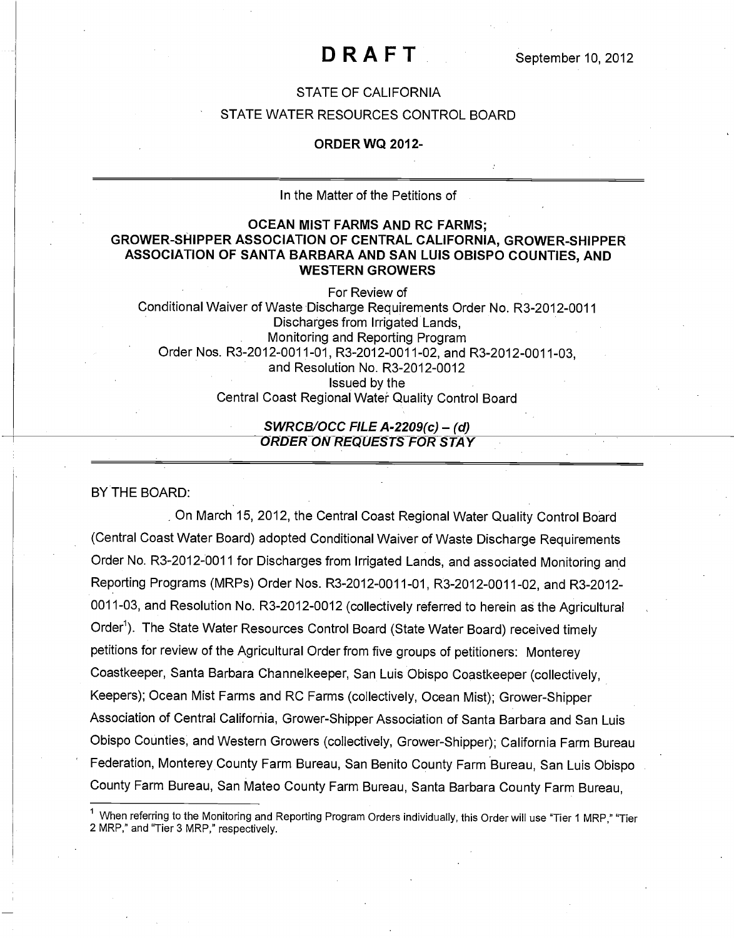### DRAFT

### STATE OF CALIFORNIA

### STATE WATER RESOURCES CONTROL BOARD

#### ORDER WQ 2012-

#### In the Matter of the Petitions of

### OCEAN MIST FARMS AND RC FARMS; GROWER-SHIPPER ASSOCIATION OF CENTRAL CALIFORNIA, GROWER-SHIPPER ASSOCIATION OF SANTA BARBARA AND SAN LUIS OBISPO COUNTIES, AND WESTERN GROWERS

For Review of Conditional Waiver of Waste Discharge Requirements Order No. R3-2012-0011 Discharges from Irrigated Lands, Monitoring and Reporting Program Order Nos. R3-2012-0011-01, R3-2012-0011-02, and R3-2012-0011-03, and Resolution No. R3-2012-0012 Issued by the Central Coast Regional Water Quality Control Board

#### SWRCB/OCC FILE A-2209(c) – (d) ORDER ON REQUESTS FOR STAY

BY THE BOARD:

On March 15, 2012, the Central Coast Regional Water Quality Control Board (Central Coast Water Board) adopted Conditional Waiver of Waste Discharge Requirements Order No. R3-2012-0011 for Discharges from Irrigated Lands, and associated Monitoring and Reporting Programs (MRPs) Order Nos. R3-2012-0011-01, R3-2012-0011-02, and R3 -2012- 0011-03, and Resolution No. R3-2012-0012 (collectively referred to herein as the Agricultural Order<sup>1</sup>). The State Water Resources Control Board (State Water Board) received timely petitions for review of the Agricultural Order from five groups of petitioners: Monterey Coastkeeper, Santa Barbara Channelkeeper, San Luis Obispo Coastkeeper (collectively, Keepers); Ocean Mist Farms and RC Farms (collectively, Ocean Mist); Grower-Shipper Association of Central California, Grower-Shipper Association of Santa Barbara and San Luis Obispo Counties, and Western Growers (collectively, Grower-Shipper); California Farm Bureau Federation, Monterey County Farm Bureau, San Benito County Farm Bureau, San Luis Obispo County Farm Bureau, San Mateo County Farm Bureau, Santa Barbara County Farm Bureau,

When referring to the Monitoring and Reporting Program Orders individually, this Order will use "Tier 1 MRP," "Tier 2 MRP," and "Tier 3 MRP," respectively.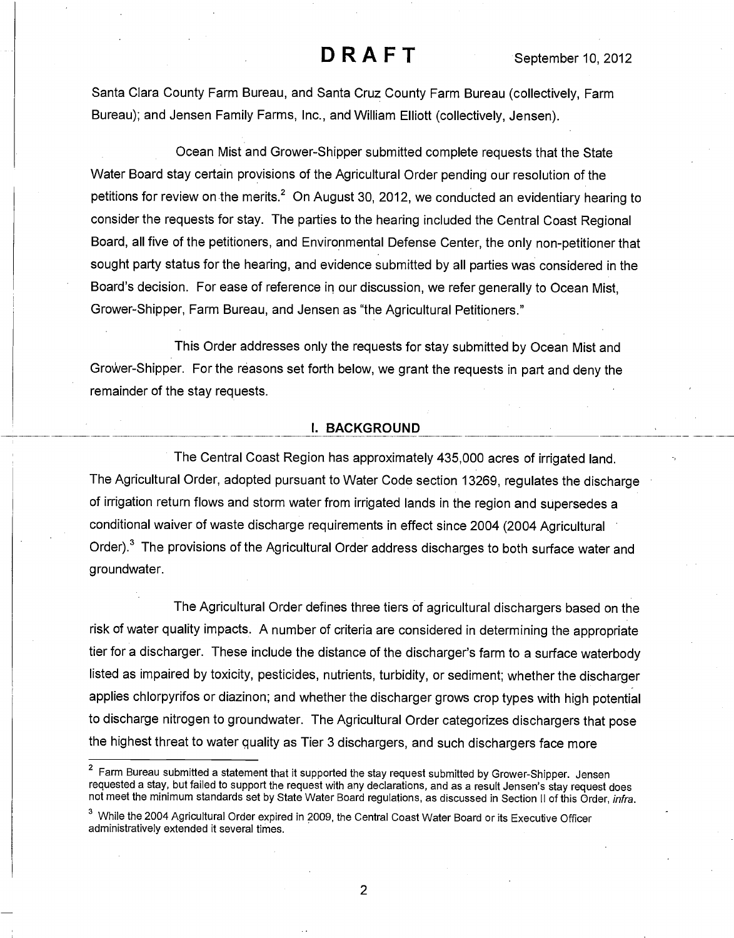Santa Clara County Farm Bureau, and Santa Cruz County Farm Bureau (collectively, Farm Bureau); and Jensen Family Farms, Inc., and William Elliott (collectively, Jensen).

Ocean Mist and Grower-Shipper submitted complete requests that the State Water Board stay certain provisions of the Agricultural Order pending our resolution of the petitions for review on the merits.<sup>2</sup> On August 30, 2012, we conducted an evidentiary hearing to consider the requests for stay. The parties to the hearing included the Central Coast Regional Board, all five of the petitioners, and Environmental Defense Center, the only non-petitioner that sought party status for the hearing, and evidence submitted by all parties was considered in the Board's decision. For ease of reference in our discussion, we refer generally to Ocean Mist, Grower-Shipper, Farm Bureau, and Jensen as "the Agricultural Petitioners."

This Order addresses only the requests for stay submitted by Ocean Mist and GroWer-Shipper. For the reasons set forth below, we grant the requests in part and deny the remainder of the stay requests.

#### I. BACKGROUND

The Central Coast Region has approximately 435,000 acres of irrigated land. The Agricultural Order, adopted pursuant to Water Code section 13269, regulates the discharge of irrigation return flows and storm water from irrigated lands in the region and supersedes a conditional waiver of waste discharge requirements in effect since 2004 (2004 Agricultural Order).<sup>3</sup> The provisions of the Agricultural Order address discharges to both surface water and groundwater.

The Agricultural Order defines three tiers of agricultural dischargers based on the risk of water quality impacts. A number of criteria are considered in determining the appropriate tier for a discharger. These include the distance of the discharger's farm to a surface waterbody listed as impaired by toxicity, pesticides, nutrients, turbidity, or sediment; whether the discharger applies chlorpyrifos or diazinon; and whether the discharger grows crop types with high potential to discharge nitrogen to groundwater. The Agricultural Order categorizes dischargers that pose the highest threat to water quality as Tier 3 dischargers, and such dischargers face more

<sup>&</sup>lt;sup>2</sup> Farm Bureau submitted a statement that it supported the stay request submitted by Grower-Shipper. Jensen requested a stay, but failed to support the request with any declarations, and as a result Jensen's stay request does not meet the minimum standards set by State Water Board regulations, as discussed in Section II of this Order, infra.

<sup>&</sup>lt;sup>3</sup> While the 2004 Agricultural Order expired in 2009, the Central Coast Water Board or its Executive Officer administratively extended it several times.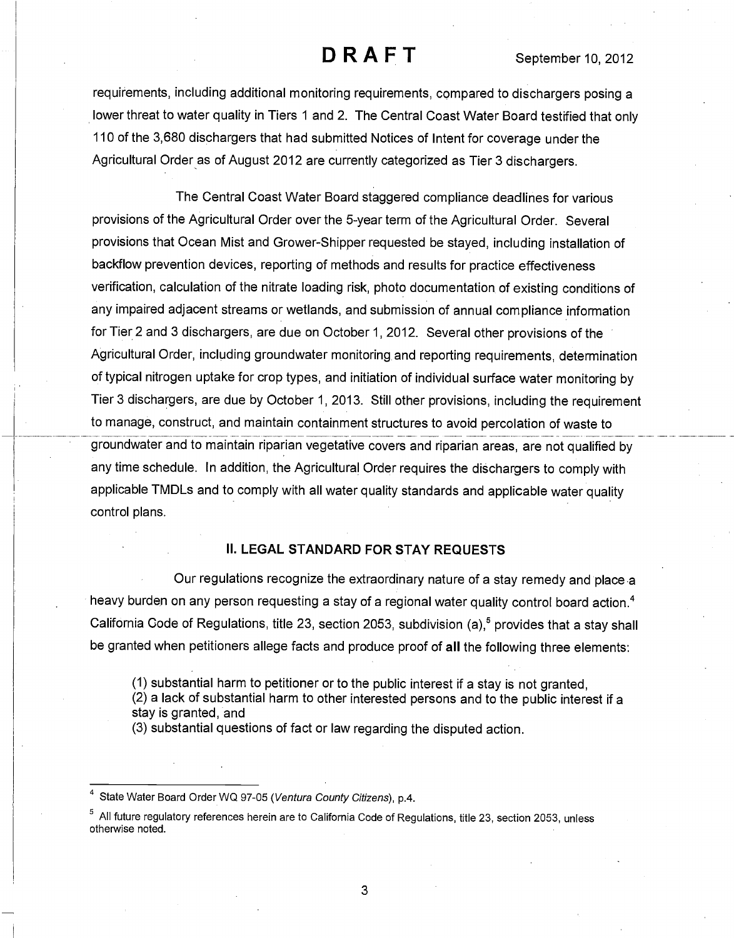requirements, including additional monitoring requirements, compared to dischargers posing a lower threat to water quality in Tiers 1 and 2. The Central Coast Water Board testified that only 110 of the 3,680 dischargers that had submitted Notices of Intent for coverage under the Agricultural Order as of August 2012 are currently categorized as Tier 3 dischargers.

The Central Coast Water Board staggered compliance deadlines for various provisions of the Agricultural Order over the 5-year term of the Agricultural Order. Several provisions that Ocean Mist and Grower-Shipper requested be stayed, including installation of backflow prevention devices, reporting of methods and results for practice effectiveness verification, calculation of the nitrate loading risk, photo documentation of existing conditions of any impaired adjacent streams or wetlands, and submission of annual compliance information for Tier 2 and 3 dischargers, are due on October 1, 2012. Several other provisions of the Agricultural Order, including groundwater monitoring and reporting requirements, determination of typical nitrogen uptake for crop types, and initiation of individual surface water monitoring by Tier 3 dischargers, are due by October 1, 2013. Still other provisions, including the requirement to manage, construct, and maintain containment structures to avoid percolation of waste to groundwater and to maintain riparian vegetative covers and riparian areas, are not qualified by any time schedule. In addition, the Agricultural Order requires the dischargers to comply with applicable TMDLs and to comply with all water quality standards and applicable water quality control plans.

### II. LEGAL STANDARD FOR STAY REQUESTS

Our regulations recognize the extraordinary nature of a stay remedy and place a heavy burden on any person requesting a stay of a regional water quality control board action.<sup>4</sup> California Code of Regulations, title 23, section 2053, subdivision (a),<sup>5</sup> provides that a stay shall be granted when petitioners allege facts and produce proof of all the following three elements:

(1) substantial harm to petitioner or to the public interest if a stay is not granted,

(2) a lack of substantial harm to other interested persons and to the public interest if a stay is granted, and

(3) substantial questions of fact or law regarding the disputed action.

State Water Board Order WQ 97-05 (Ventura County Citizens), p.4.

<sup>5</sup> All future regulatory references herein are to California Code of Regulations, title 23, section 2053, unless otherwise noted.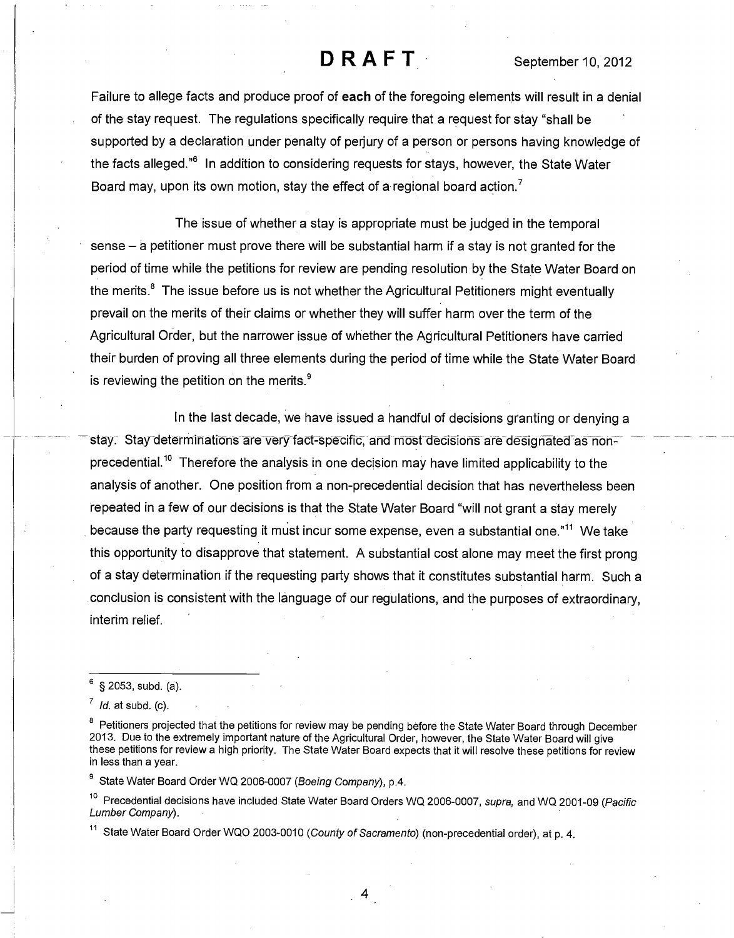Failure to allege facts and produce proof of each of the foregoing elements will result in a denial of the stay request. The regulations specifically require that a request for stay "shall be supported by a declaration under penalty of perjury of a person or persons having knowledge of the facts alleged.<sup>"6</sup> In addition to considering requests for stays, however, the State Water Board may, upon its own motion, stay the effect of a regional board action.<sup>7</sup>

The issue of whether a stay is appropriate must be judged in the temporal sense  $-$  a petitioner must prove there will be substantial harm if a stay is not granted for the period of time while the petitions for review are pending resolution by the State Water Board on the merits.<sup>8</sup> The issue before us is not whether the Agricultural Petitioners might eventually prevail on the merits of their claims or whether they will suffer harm over the term of the Agricultural Order, but the narrower issue of whether the Agricultural Petitioners have carried their burden of proving all three elements during the period of time while the State Water Board is reviewing the petition on the merits. $9$ 

In the last decade, we have issued a handful of decisions granting or denying a stay. Stay determinations are very fact-specific, and most decisions are designated as nonprecedential.<sup>10</sup> Therefore the analysis in one decision may have limited applicability to the analysis of another. One position from a non-precedential decision that has nevertheless been repeated in a few of our decisions is that the State Water Board "will not grant a stay merely because the party requesting it must incur some expense, even a substantial one."<sup>11</sup> We take this opportunity to disapprove that statement. A substantial cost alone may meet the first prong of a stay determination if the requesting party shows that it constitutes substantial harm. Such a conclusion is consistent with the language of our regulations, and the purposes of extraordinary, interim relief.

 $^7$  *Id.* at subd. (c).

<sup>8</sup> Petitioners projected that the petitions for review may be pending before the State Water Board through December 2013. Due to the extremely important nature of the Agricultural Order, however, the State Water Board will give these petitions for review a high priority. The State Water Board expects that it will resolve these petitions for review in less than a year.

<sup>9</sup> State Water Board Order WQ 2006-0007 (Boeing Company), p.4.

<sup>10</sup> Precedential decisions have included State Water Board Orders WQ 2006-0007, supra, and WQ 2001-09 (Pacific Lumber Company).

<sup>11</sup> State Water Board Order WQO 2003-0010 (County of Sacramento) (non-precedential order), at p. 4.

<sup>6 § 2053,</sup> subd. (a).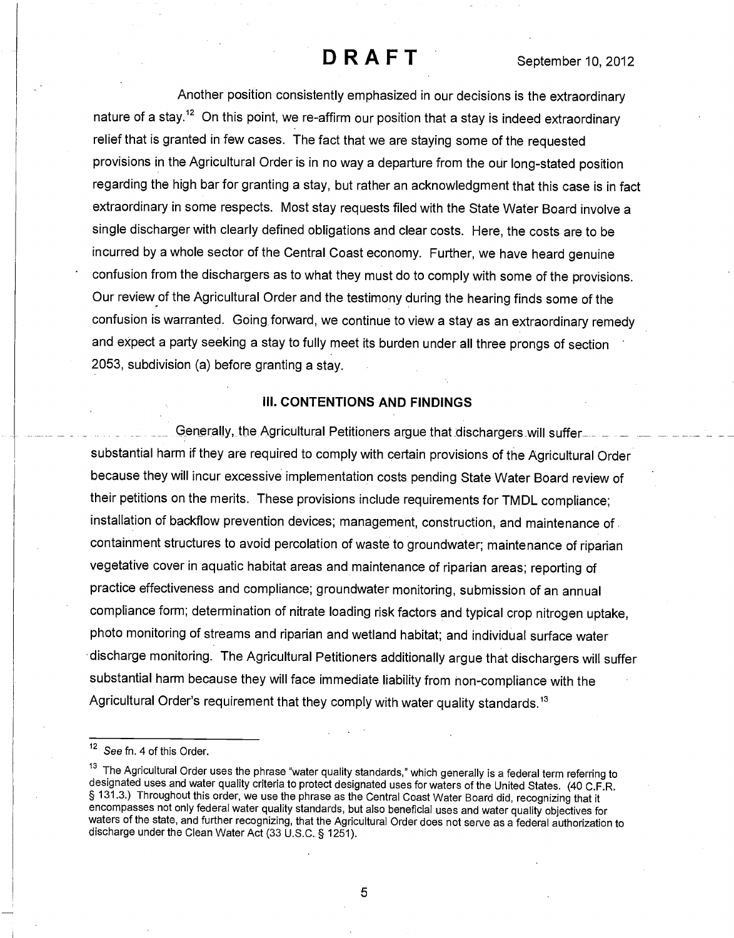Another position consistently emphasized in our decisions is the extraordinary nature of a stay.<sup>12</sup> On this point, we re-affirm our position that a stay is indeed extraordinary relief that is granted in few cases. The fact that we are staying some of the requested provisions in the Agricultural Order is in no way a departure from the our long-stated position regarding the high bar for granting a stay, but rather an acknowledgment that this case is in fact extraordinary in some respects. Most stay requests filed with the State Water Board involve a single discharger with clearly defined obligations and clear costs. Here, the costs are to be incurred by a whole sector of the Central Coast economy. Further, we have heard genuine confusion from the dischargers as to what they must do to comply with some of the provisions. Our review of the Agricultural Order and the testimony during the hearing finds some of the confusion is warranted. Going forward, we continue to view a stay as an extraordinary remedy and expect a party seeking a stay to fully meet its burden under all three prongs of section 2053, subdivision (a) before granting a stay.

#### III. CONTENTIONS AND FINDINGS

Generally, the Agricultural Petitioners argue that dischargers will suffer\_ \_ substantial harm if they are required to comply with certain provisions of the Agricultural Order because they will incur excessive implementation costs pending State Water Board review of their petitions on the merits. These provisions include requirements for TMDL compliance; installation of backflow prevention devices; management, construction, and maintenance of containment structures to avoid percolation of waste to groundwater; maintenance of riparian vegetative cover in aquatic habitat areas and maintenance of riparian areas; reporting of practice effectiveness and compliance; groundwater monitoring, submission of an annual compliance form; determination of nitrate loading risk factors and typical crop nitrogen uptake, photo monitoring of streams and riparian and wetland habitat; and individual surface water discharge monitoring. The Agricultural Petitioners additionally argue that dischargers will suffer substantial harm because they will face immediate liability from non-compliance with the Agricultural Order's requirement that they comply with water quality standards.<sup>13</sup>

<sup>&</sup>lt;sup>12</sup> See fn. 4 of this Order.

<sup>&</sup>lt;sup>13</sup> The Agricultural Order uses the phrase "water quality standards," which generally is a federal term referring to designated uses and water quality criteria to protect designated uses for waters of the United States. (40 C.F.R. § 131.3.) Throughout this order, we use the phrase as the Central Coast Water Board did, recognizing that it encompasses not only federal water quality standards, but also beneficial uses and water quality objectives for waters of the state, and further recognizing, that the Agricultural Order does not serve as a federal authorization to discharge under the Clean Water Act (33 U.S.C. § 1251).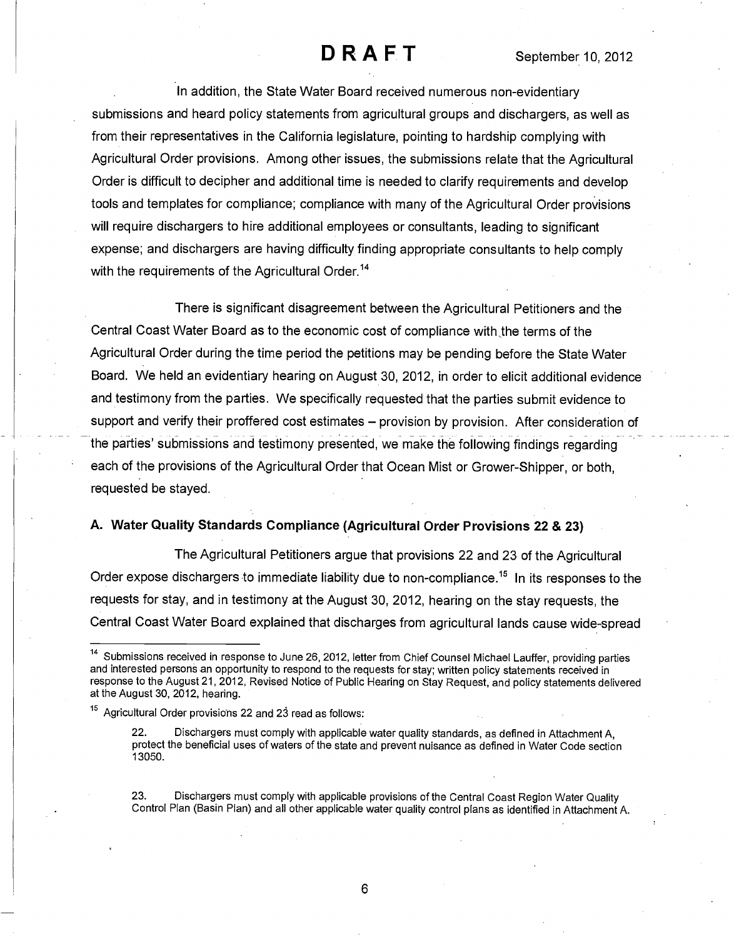In addition, the State Water Board received numerous non-evidentiary submissions and heard policy statements from agricultural groups and dischargers, as well as from their representatives in the California legislature, pointing to hardship complying with Agricultural Order provisions. Among other issues, the submissions relate that the Agricultural Order is difficult to decipher and additional time is needed to clarify requirements and develop tools and templates for compliance; compliance with many of the Agricultural Order provisions will require dischargers to hire additional employees or consultants, leading to significant expense; and dischargers are having difficulty finding appropriate consultants to help comply with the requirements of the Agricultural Order.<sup>14</sup>

There is significant disagreement between the Agricultural Petitioners and the Central Coast Water Board as to the economic cost of compliance with:the terms of the Agricultural Order during the time period the petitions may be pending before the State Water Board. We held an evidentiary hearing on August 30, 2012, in order to elicit additional evidence and testimony from the parties. We specifically requested that the parties submit evidence to support and verify their proffered cost estimates – provision by provision. After consideration of the parties' submissions and testimony presented, we make the following findings regarding each of the provisions of the Agricultural Order that Ocean Mist or Grower-Shipper, or both, requested be stayed.

### A. Water Quality Standards Compliance (Agricultural Order Provisions 22 & 23)

The Agricultural Petitioners argue that provisions 22 and 23 of the Agricultural Order expose dischargers to immediate liability due to non-compliance.<sup>15</sup> In its responses to the requests for stay, and in testimony at the August 30, 2012, hearing on the stay requests, the Central Coast Water Board explained that discharges from agricultural lands cause wide-spread

23. Dischargers must comply with applicable provisions of the Central Coast Region Water Quality Control Plan (Basin Plan) and all other applicable water quality control plans as identified in Attachment A.

<sup>&</sup>lt;sup>14</sup> Submissions received in response to June 26, 2012, letter from Chief Counsel Michael Lauffer, providing parties and interested persons an opportunity to respond to the requests for stay; written policy statements received in response to the August 21, 2012, Revised Notice of Public Hearing on Stay Request, and policy statements delivered at the August 30, 2012, hearing.

<sup>15</sup> Agricultural Order provisions 22 and 23 read as follows:

Dischargers must comply with applicable water quality standards, as defined in Attachment A, protect the beneficial uses of waters of the state and prevent nuisance as defined in Water Code section 13050.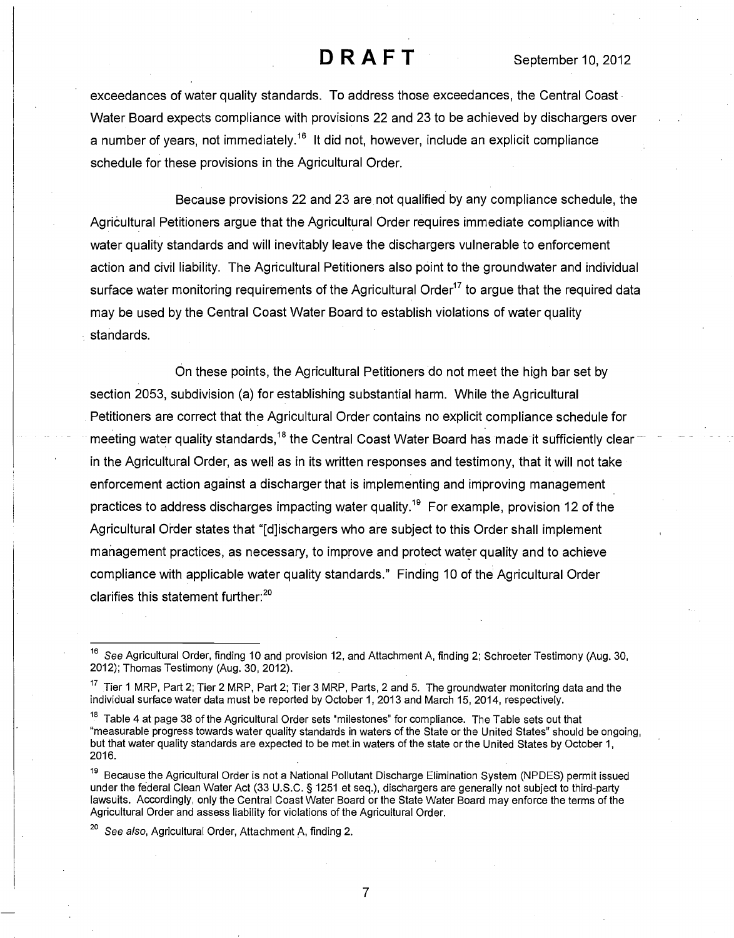exceedances of water quality standards. To address those exceedances, the Central Coast Water Board expects compliance with provisions 22 and 23 to be achieved by dischargers over a number of years, not immediately.<sup>16</sup> It did not, however, include an explicit compliance schedule for these provisions in the Agricultural Order.

Because provisions 22 and 23 are not qualified by any compliance schedule, the Agricultural Petitioners argue that the Agricultural Order requires immediate compliance with water quality standards and will inevitably leave the dischargers vulnerable to enforcement action and civil liability. The Agricultural Petitioners also point to the groundwater and individual surface water monitoring requirements of the Agricultural Order<sup>17</sup> to argue that the required data may be used by the Central Coast Water Board to establish violations of water quality standards.

On these points, the Agricultural Petitioners do not meet the high bar set by section 2053, subdivision (a) for establishing substantial harm. While the Agricultural Petitioners are correct that the Agricultural Order contains no explicit compliance schedule for meeting water quality standards,<sup>18</sup> the Central Coast Water Board has made it sufficiently clear in the Agricultural Order, as well as in its written responses and testimony, that it will not take enforcement action against a discharger that is implementing and improving management practices to address discharges impacting water quality.<sup>19</sup> For example, provision 12 of the Agricultural Order states that "[d]ischargers who are subject to this Order shall implement management practices, as necessary, to improve and protect water quality and to achieve compliance with applicable water quality standards." Finding 10 of the Agricultural Order clarifies this statement further:<sup>20</sup>

<sup>&</sup>lt;sup>16</sup> See Agricultural Order, finding 10 and provision 12, and Attachment A, finding 2; Schroeter Testimony (Aug. 30, 2012); Thomas Testimony (Aug. 30, 2012).

 $17$  Tier 1 MRP, Part 2; Tier 2 MRP, Part 2; Tier 3 MRP, Parts, 2 and 5. The groundwater monitoring data and the individual surface water data must be reported by October 1, 2013 and March 15, 2014, respectively.

<sup>&</sup>lt;sup>18</sup> Table 4 at page 38 of the Agricultural Order sets "milestones" for compliance. The Table sets out that "measurable progress towards water quality standards in waters of the State or the United States" should be ongoing, but that water quality standards are expected to be met.in waters of the state or the United States by October 1, 2016.

<sup>19</sup> Because the Agricultural Order is not a National Pollutant Discharge Elimination System (NPDES) permit issued under the federal Clean Water Act (33 U.S.C. § 1251 et seq.), dischargers are generally not subject to third-party lawsuits. Accordingly, only the Central Coast Water Board or the State Water Board may enforce the terms of the Agricultural Order and assess liability for violations of the Agricultural Order.

 $20$  See also, Agricultural Order, Attachment A, finding 2.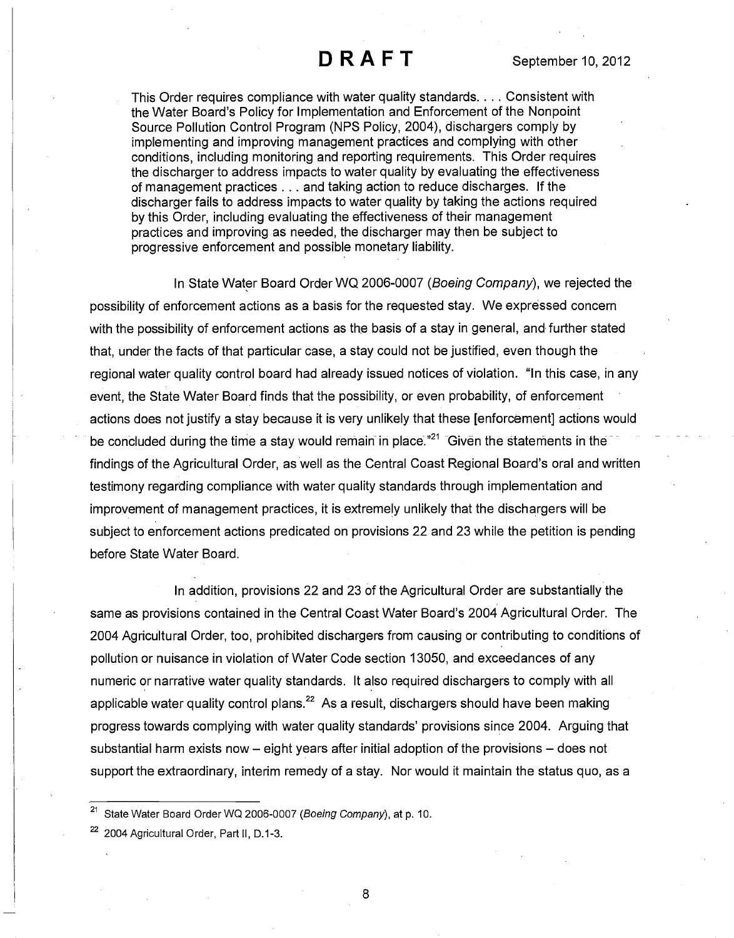This Order requires compliance with water quality standards. . . . Consistent with the Water Board's Policy for Implementation and Enforcement of the Nonpoint Source Pollution Control Program (NPS Policy, 2004), dischargers comply by implementing and improving management practices and complying with other conditions, including monitoring and reporting requirements. This Order requires the discharger to address impacts to water quality by evaluating the effectiveness of management practices . . . and taking action to reduce discharges. If the discharger fails to address impacts to water quality by taking the actions required by this Order, including evaluating the effectiveness of their management practices and improving as needed, the discharger may then be subject to progressive enforcement and possible monetary liability.

In State Water Board Order WQ 2006-0007 (Boeing Company), we rejected the possibility of enforcement actions as a basis for the requested stay. We expressed concern with the possibility of enforcement actions as the basis of a stay in general, and further stated that, under the facts of that particular case, a stay could not be justified, even though the regional water quality control board had already issued notices of violation. "In this case, in any event, the State Water Board finds that the possibility, or even probability, of enforcement actions does not justify a stay because it is very unlikely that these [enforcement] actions would be concluded during the time a stay would remain in place."<sup>21</sup> Given the statements in the findings of the Agricultural Order, as well as the Central Coast Regional Board's oral and written testimony regarding compliance with water quality standards through implementation and improvement of management practices, it is extremely unlikely that the dischargers will be subject to enforcement actions predicated on provisions 22 and 23 while the petition is pending before State Water Board.

In addition, provisions 22 and 23 of the Agricultural Order are substantially the same as provisions contained in the Central Coast Water Board's 2004 Agricultural Order. The 2004 Agricultural Order, too, prohibited dischargers from causing or contributing to conditions of pollution or nuisance in violation of Water Code section 13050, and exceedances of any numeric or narrative water quality standards. It also required dischargers to comply with all applicable water quality control plans.<sup>22</sup> As a result, dischargers should have been making progress towards complying with water quality standards' provisions since 2004. Arguing that substantial harm exists now  $-$  eight years after initial adoption of the provisions  $-$  does not support the extraordinary, interim remedy of a stay. Nor would it maintain the status quo, as a

<sup>21</sup> State Water Board Order WQ 2006-0007 (Boeing Company), at p. 10.

<sup>&</sup>lt;sup>22</sup> 2004 Agricultural Order, Part II, D.1-3.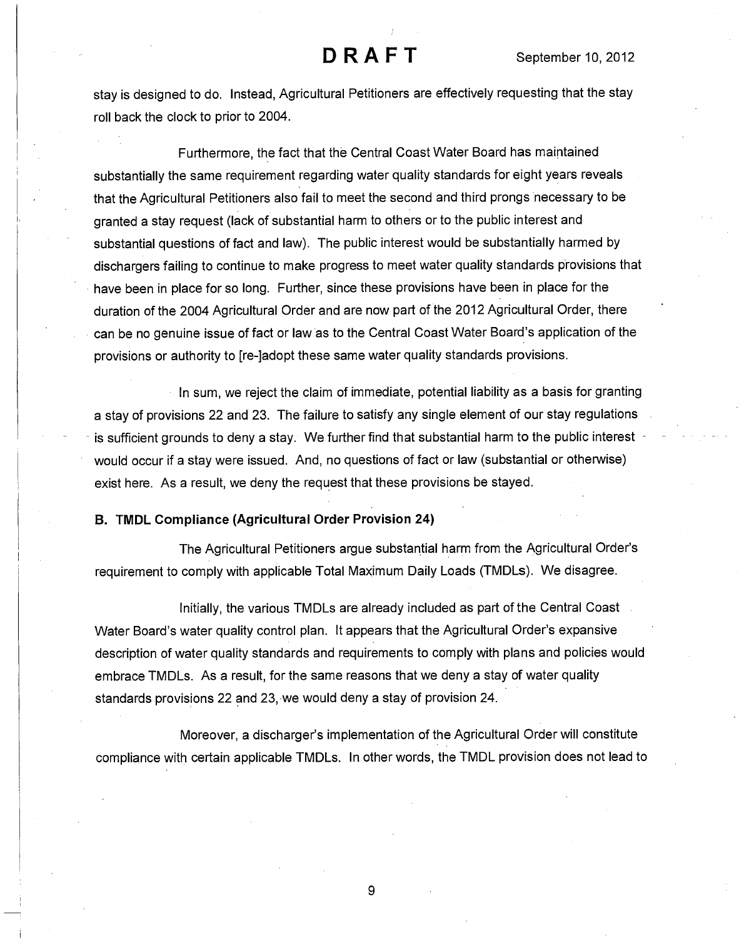stay is designed to do. Instead, Agricultural Petitioners are effectively requesting that the stay roll back the clock to prior to 2004.

Furthermore, the fact that the Central Coast Water Board has maintained substantially the same requirement regarding water quality standards for eight years reveals that the Agricultural Petitioners also fail to meet the second and third prongs necessary to be granted a stay request (lack of substantial harm to others or to the public interest and substantial questions of fact and law). The public interest would be substantially harmed by dischargers failing to continue to make progress to meet water quality standards provisions that have been in place for so long. Further, since these provisions have been in place for the duration of the 2004 Agricultural Order and are now part of the 2012 Agricultural Order, there can be no genuine issue of fact or law as to the Central Coast Water Board's application of the provisions or authority to [re-]adopt these same water quality standards provisions.

In sum, we reject the claim of immediate, potential liability as a basis for granting a stay of provisions 22 and 23. The failure to satisfy any single element of our stay regulations is sufficient grounds to deny a stay. We further find that substantial harm to the public interest would occur if a stay were issued. And, no questions of fact or law (substantial or otherwise) exist here. As a result, we deny the request that these provisions be stayed.

#### B. TMDL Compliance (Agricultural Order Provision 24)

The Agricultural Petitioners argue substantial harm from the Agricultural Order's requirement to comply with applicable Total Maximum Daily Loads (TMDLs). We disagree.

Initially, the various TMDLs are already included as part of the Central Coast Water Board's water quality control plan. It appears that the Agricultural Order's expansive description of water quality standards and requirements to comply with plans and policies would embrace TMDLs. As a result, for the same reasons that we deny a stay of water quality standards provisions 22 and 23, we would deny a stay of provision 24.

Moreover, a discharger's implementation of the Agricultural Order will constitute compliance with certain applicable TMDLs. In other words, the TMDL provision does not lead to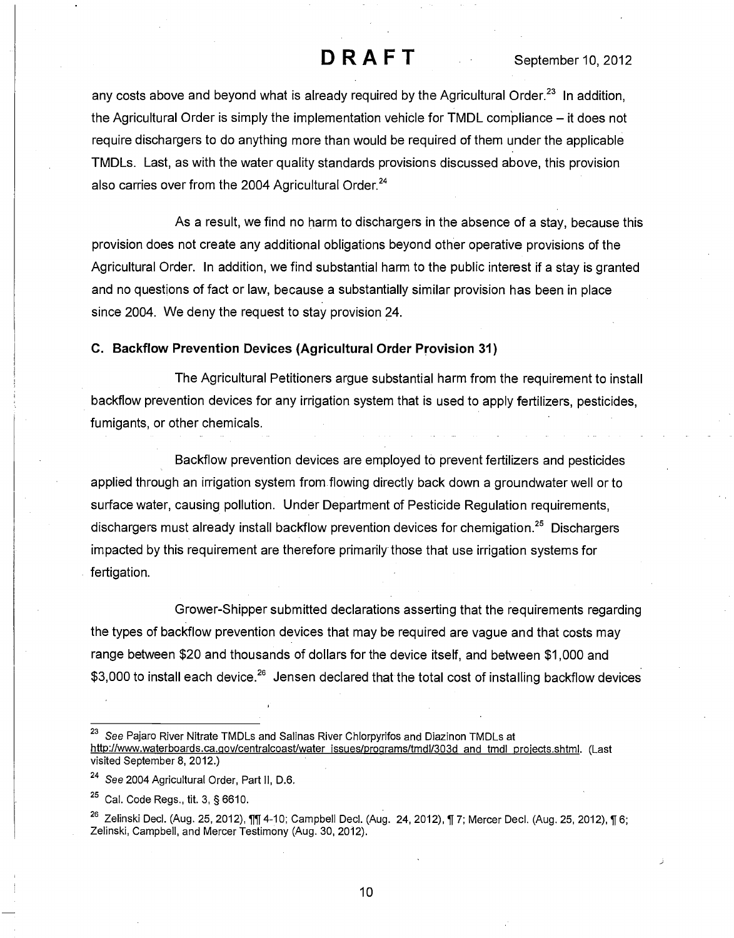any costs above and beyond what is already required by the Agricultural Order.<sup>23</sup> In addition, the Agricultural Order is simply the implementation vehicle for TMDL compliance  $-$  it does not require dischargers to do anything more than would be required of them under the applicable TMDLs. Last, as with the water quality standards provisions discussed above, this provision also carries over from the 2004 Agricultural Order.<sup>24</sup>

As a result, we find no harm to dischargers in the absence of a stay, because this provision does not create any additional obligations beyond other operative provisions of the Agricultural Order. In addition, we find substantial harm to the public interest if a stay is granted and no questions of fact or law, because a substantially similar provision has been in place since 2004. We deny the request to stay provision 24.

### C. Backflow Prevention Devices (Agricultural Order Provision 31)

The Agricultural Petitioners argue substantial harm from the requirement to install backflow prevention devices for any irrigation system that is used to apply fertilizers, pesticides, fumigants, or other chemicals.

Backflow prevention devices are employed to prevent fertilizers and pesticides applied through an irrigation system from flowing directly back down a groundwater well or to surface water, causing pollution. Under Department of Pesticide Regulation requirements, dischargers must already install backflow prevention devices for chemigation.<sup>25</sup> Dischargers impacted by this requirement are therefore primarily those that use irrigation systems for fertigation.

Grower-Shipper submitted declarations asserting that the requirements regarding the types of backflow prevention devices that may be required are vague and that costs may range between \$20 and thousands of dollars for the device itself, and between \$1,000 and \$3,000 to install each device.<sup>26</sup> Jensen declared that the total cost of installing backflow devices

See Pajaro River Nitrate TMDLs and Salinas River Chlorpyrifos and Diazinon TMDLs at http://www.waterboards.ca.gov/centralcoast/water issues/programs/tmdl/303d and tmdl proiects.shtml. (Last visited September 8, 2012.)

<sup>&</sup>lt;sup>24</sup> See 2004 Agricultural Order, Part II, D.6.

 $25$  Cal. Code Regs., tit. 3, § 6610.

<sup>&</sup>lt;sup>26</sup> Zelinski Decl. (Aug. 25, 2012),  $\P$  4-10; Campbell Decl. (Aug. 24, 2012),  $\P$  7; Mercer Decl. (Aug. 25, 2012),  $\P$  6; Zelinski, Campbell, and Mercer Testimony (Aug. 30, 2012).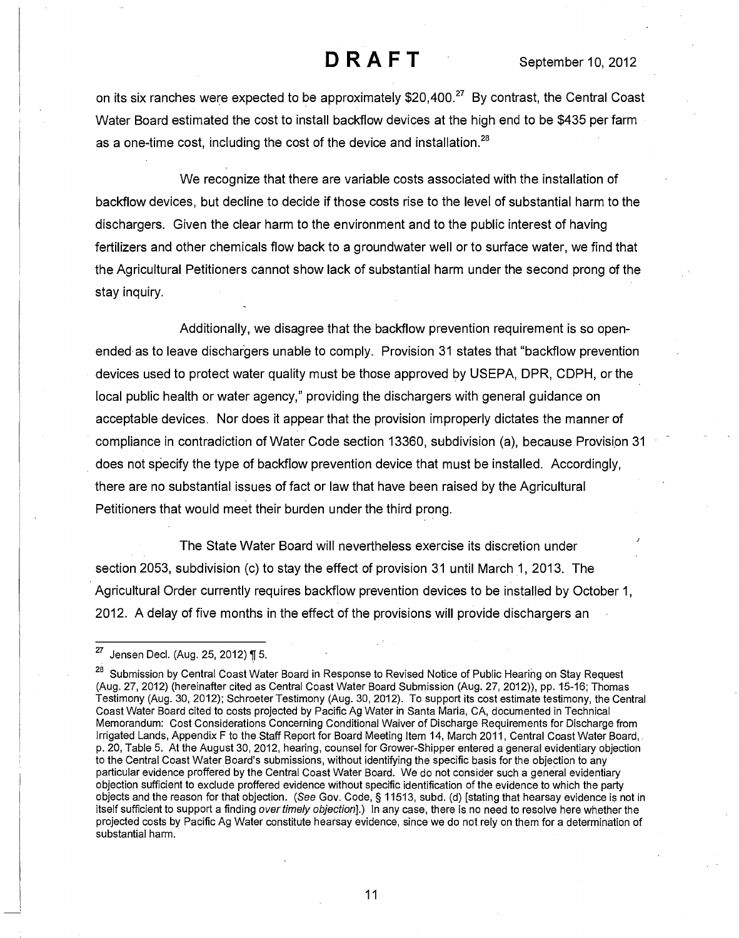on its six ranches were expected to be approximately \$20,400.<sup>27</sup> By contrast, the Central Coast Water Board estimated the cost to install backflow devices at the high end to be \$435 per farm as a one-time cost, including the cost of the device and installation.<sup>28</sup>

We recognize that there are variable costs associated with the installation of backflow devices, but decline to decide if those costs rise to the level of substantial harm to the dischargers. Given the clear harm to the environment and to the public interest of having fertilizers and other chemicals flow back to a groundwater well or to surface water, we find that the Agricultural Petitioners cannot show lack of substantial harm under the second prong of the stay inquiry.

Additionally, we disagree that the backflow prevention requirement is so openended as to leave dischargers unable to comply. Provision 31 states that "backflow prevention devices used to protect water quality must be those approved by USEPA, DPR, CDPH, or the local public health or water agency," providing the dischargers with general guidance on acceptable devices. Nor does it appear that the provision improperly dictates the manner of compliance in contradiction of Water Code section 13360, subdivision (a), because Provision 31 does not specify the type of backflow prevention device that must be installed. Accordingly, there are no substantial issues of fact or law that have been raised by the Agricultural Petitioners that would meet their burden under the third prong.

The State Water Board will nevertheless exercise its discretion under section 2053, subdivision (c) to stay the effect of provision 31 until March 1, 2013. The Agricultural Order currently requires backflow prevention devices to be installed by October 1, 2012. A delay of five months in the effect of the provisions will provide dischargers an

<sup>27</sup> Jensen Decl. (Aug. 25, 2012) ¶ 5.

<sup>&</sup>lt;sup>28</sup> Submission by Central Coast Water Board in Response to Revised Notice of Public Hearing on Stay Request (Aug. 27, 2012) (hereinafter cited as Central Coast Water Board Submission (Aug. 27, 2012)), pp. 15-16; Thomas Testimony (Aug. 30, 2012); Schroeter Testimony (Aug. 30, 2012). To support its cost estimate testimony, the Central Coast Water Board cited to costs projected by Pacific Ag Water in Santa Maria, CA, documented in Technical Memorandum: Cost Considerations Concerning Conditional Waiver of Discharge Requirements for Discharge from Irrigated Lands, Appendix F to the Staff Report for Board Meeting Item 14, March 2011, Central Coast Water Board, p. 20, Table 5. At the August 30, 2012, hearing, counsel for Grower-Shipper entered a general evidentiary objection to the Central Coast Water Board's submissions, without identifying the specific basis for the objection to any particular evidence proffered by the Central Coast Water Board. We do not consider such a general evidentiary objection sufficient to exclude proffered evidence without specific identification of the evidence to which the party objects and the reason for that objection. (See Gov. Code, § 11513, subd. (d) [stating that hearsay evidence is not in itself sufficient to support a finding over timely objection].) In any case, there is no need to resolve here whether the projected costs by Pacific Ag Water constitute hearsay evidence, since we do not rely on them for a determination of substantial harm.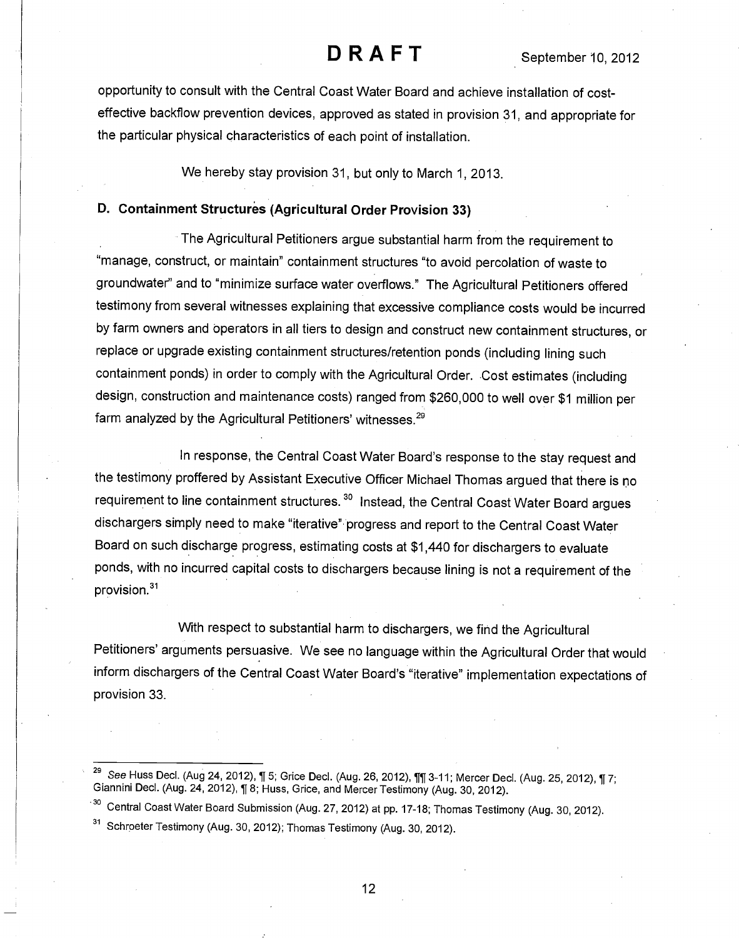opportunity to consult with the Central Coast Water Board and achieve installation of costeffective backflow prevention devices, approved as stated in provision 31, and appropriate for the particular physical characteristics of each point of installation.

We hereby stay provision 31, but only to March 1, 2013.

### D. Containment Structures (Agricultural Order Provision 33)

The Agricultural Petitioners argue substantial harm from the requirement to "manage, construct, or maintain" containment structures "to avoid percolation of waste to groundwater" and to "minimize surface water overflows." The Agricultural Petitioners offered testimony from several witnesses explaining that excessive compliance costs would be incurred by farm owners and operators in all tiers to design and construct new containment structures, or replace or upgrade existing containment structures/retention ponds (including lining such containment ponds) in order to comply with the Agricultural Order. Cost estimates (including design, construction and maintenance costs) ranged from \$260,000 to well over \$1 million per farm analyzed by the Agricultural Petitioners' witnesses.<sup>29</sup>

In response, the Central Coast Water Board's response to the stay request and the testimony proffered by Assistant Executive Officer Michael Thomas argued that there is no requirement to line containment structures.<sup>30</sup> Instead, the Central Coast Water Board argues dischargers simply need to make "iterative" progress and report to the Central Coast Water Board on such discharge progress, estimating costs at \$1,440 for dischargers to evaluate ponds, with no incurred capital costs to dischargers because lining is not a requirement of the provision.<sup>31</sup>

With respect to substantial harm to dischargers, we find the Agricultural Petitioners' arguments persuasive. We see no language within the Agricultural Order that would inform dischargers of the Central Coast Water Board's "iterative" implementation expectations of provision 33.

See Huss Decl. (Aug 24, 2012), ¶ 5; Grice Decl. (Aug. 26, 2012), ¶¶ 3-11; Mercer Decl. (Aug. 25, 2012), ¶ 7; Giannini Decl. (Aug. 24, 2012), ¶ 8; Huss, Grice, and Mercer Testimony (Aug. 30, 2012).

<sup>-3°</sup> Central Coast Water Board Submission (Aug. 27, 2012) at pp. 17-18; Thomas Testimony (Aug. 30, 2012).

<sup>&</sup>lt;sup>31</sup> Schroeter Testimony (Aug. 30, 2012); Thomas Testimony (Aug. 30, 2012).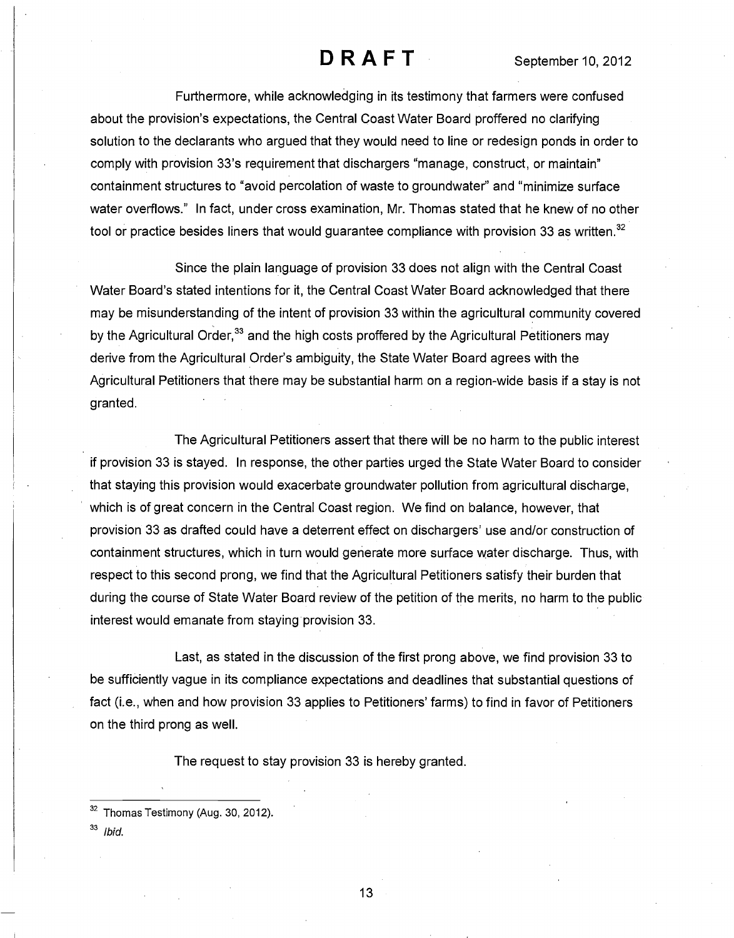Furthermore, while acknowledging in its testimony that farmers were confused about the provision's expectations, the Central Coast Water Board proffered no clarifying solution to the declarants who argued that they would need to line or redesign ponds in order to comply with provision 33's requirement that dischargers "manage, construct, or maintain" containment structures to "avoid percolation of waste to groundwater" and "minimize surface water overflows." In fact, under cross examination, Mr. Thomas stated that he knew of no other tool or practice besides liners that would guarantee compliance with provision 33 as written. $32$ 

Since the plain language of provision 33 does not align with the Central Coast Water Board's stated intentions for it, the Central Coast Water Board acknowledged that there may be misunderstanding of the intent of provision 33 within the agricultural community covered by the Agricultural Order,<sup>33</sup> and the high costs proffered by the Agricultural Petitioners may derive from the Agricultural Order's ambiguity, the State Water Board agrees with the Agricultural Petitioners that there may be substantial harm on a region-wide basis if a stay is not granted.

The Agricultural Petitioners assert that there will be no harm to the public interest if provision 33 is stayed. In response, the other parties urged the State Water Board to consider that staying this provision would exacerbate groundwater pollution from agricultural discharge, which is of great concern in the Central Coast region. We find on balance, however, that provision 33 as drafted could have a deterrent effect on dischargers' use and/or construction of containment structures, which in turn would generate more surface water discharge. Thus, with respect to this second prong, we find that the Agricultural Petitioners satisfy their burden that during the course of State Water Board review of the petition of the merits, no harm to the public interest would emanate from staying provision 33.

Last, as stated in the discussion of the first prong above, we find provision 33 to be sufficiently vague in its compliance expectations and deadlines that substantial questions of fact (i.e., when and how provision 33 applies to Petitioners' farms) to find in favor of Petitioners on the third prong as well.

The request to stay provision 33 is hereby granted.

 $33$  Ibid.

<sup>&</sup>lt;sup>32</sup> Thomas Testimony (Aug. 30, 2012).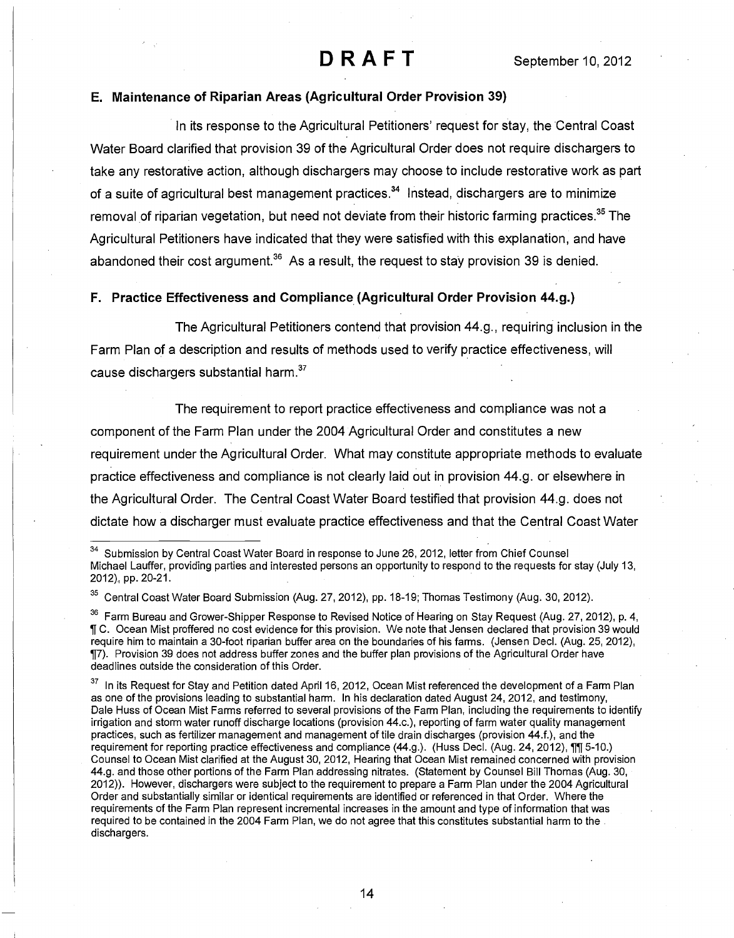### E. Maintenance of Riparian Areas (Agricultural Order Provision 39)

In its response to the Agricultural Petitioners' request for stay, the Central Coast Water Board clarified that provision 39 of the Agricultural Order does not require dischargers to take any restorative action, although dischargers may choose to include restorative work as part of a suite of agricultural best management practices.<sup>34</sup> Instead, dischargers are to minimize removal of riparian vegetation, but need not deviate from their historic farming practices.<sup>35</sup> The Agricultural Petitioners have indicated that they were satisfied with this explanation, and have abandoned their cost argument.<sup>36</sup> As a result, the request to stay provision 39 is denied.

### F. Practice Effectiveness and Compliance (Agricultural Order Provision 44.g.)

The Agricultural Petitioners contend that provision 44.g., requiring inclusion in the Farm Plan of a description and results of methods used to verify practice effectiveness, will cause dischargers substantial harm.<sup>37</sup>

The requirement to report practice effectiveness and compliance was not a component of the Farm Plan under the 2004 Agricultural Order and constitutes a new requirement under the Agricultural Order. What may constitute appropriate methods to evaluate practice effectiveness and compliance is not clearly laid out in provision 44.g. or elsewhere in the Agricultural Order. The Central Coast Water Board testified that provision 44.g. does not dictate how a discharger must evaluate practice effectiveness and that the Central Coast Water

<sup>&</sup>lt;sup>34</sup> Submission by Central Coast Water Board in response to June 26, 2012, letter from Chief Counsel Michael Lauffer, providing parties and interested persons an opportunity to respond to the requests for stay (July 13, 2012), pp. 20-21.

<sup>&</sup>lt;sup>35</sup> Central Coast Water Board Submission (Aug. 27, 2012), pp. 18-19; Thomas Testimony (Aug. 30, 2012).

<sup>&</sup>lt;sup>36</sup> Farm Bureau and Grower-Shipper Response to Revised Notice of Hearing on Stay Request (Aug. 27, 2012), p. 4, li C. Ocean Mist proffered no cost evidence for this provision. We note that Jensen declared that provision 39 would require him to maintain a 30-foot riparian buffer area on the boundaries of his farms. (Jensen Decl. (Aug. 25, 2012), ¶7). Provision 39 does not address buffer zones and the buffer plan provisions of the Agricultural Order have deadlines outside the consideration of this Order.

<sup>&</sup>lt;sup>37</sup> In its Request for Stay and Petition dated April 16, 2012, Ocean Mist referenced the development of a Farm Plan as one of the provisions leading to substantial harm. In his declaration dated August 24, 2012, and testimony, Dale Huss of Ocean Mist Farms referred to several provisions of the Farm Plan, including the requirements to identify irrigation and storm water runoff discharge locations (provision 44.c.), reporting of farm water quality management practices, such as fertilizer management and management of tile drain discharges (provision 44.f.), and the requirement for reporting practice effectiveness and compliance (44.g.). (Huss Decl. (Aug. 24, 2012), 11 5-10.) Counsel to Ocean Mist clarified at the August 30, 2012, Hearing that Ocean Mist remained concerned with provision 44.g. and those other portions of the Farm Plan addressing nitrates. (Statement by Counsel Bill Thomas (Aug. 30, 2012)). However, dischargers were subject to the requirement to prepare a Farm Plan under the 2004 Agricultural Order and substantially similar or identical requirements are identified or referenced in that Order. Where the requirements of the Farm Plan represent incremental increases in the amount and type of information that was required to be contained in the 2004 Farm Plan, we do not agree that this constitutes substantial harm to the dischargers.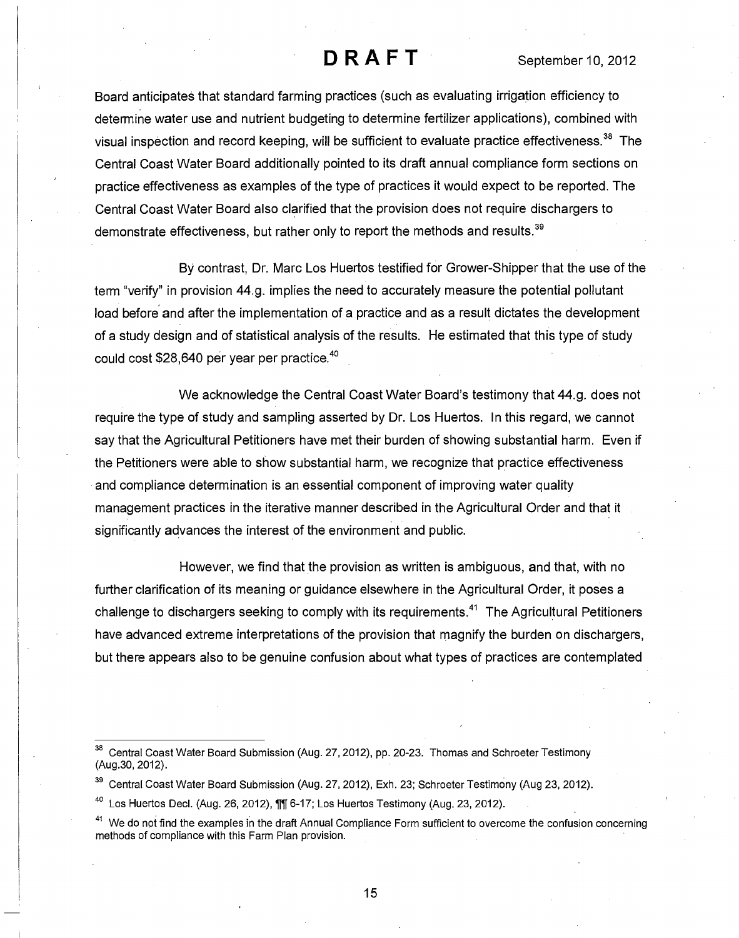Board anticipates that standard farming practices (such as evaluating irrigation efficiency to determine water use and nutrient budgeting to determine fertilizer applications), combined with visual inspection and record keeping, will be sufficient to evaluate practice effectiveness.<sup>38</sup> The Central Coast Water Board additionally pointed to its draft annual compliance form sections on practice effectiveness as examples of the type of practices it would expect to be reported. The Central Coast Water Board also clarified that the provision does not require dischargers to demonstrate effectiveness, but rather only to report the methods and results.<sup>39</sup>

By contrast, Dr. Marc Los Huertos testified for Grower-Shipper that the use of the term "verify" in provision 44.g. implies the need to accurately measure the potential pollutant load before and after the implementation of a practice and as a result dictates the development of a study design and of statistical analysis of the results. He estimated that this type of study could cost \$28,640 per year per practice.<sup>40</sup>

We acknowledge the Central Coast Water Board's testimony that 44.g. does not require the type of study and sampling asserted by Dr. Los Huertos. In this regard, we cannot say that the Agricultural Petitioners have met their burden of showing substantial harm. Even if the Petitioners were able to show substantial harm, we recognize that practice effectiveness and compliance determination is an essential component of improving water quality management practices in the iterative manner described in the Agricultural Order and that it significantly advances the interest of the environment and public.

However, we find that the provision as written is ambiguous, and that, with no further clarification of its meaning or guidance elsewhere in the Agricultural Order, it poses a challenge to dischargers seeking to comply with its requirements.<sup>41</sup> The Agricultural Petitioners have advanced extreme interpretations of the provision that magnify the burden on dischargers, but there appears also to be genuine confusion about what types of practices are contemplated

<sup>38</sup> Central Coast Water Board Submission (Aug. 27, 2012), pp. 20-23. Thomas and Schroeter Testimony (Aug.30, 2012).

<sup>&</sup>lt;sup>39</sup> Central Coast Water Board Submission (Aug. 27, 2012), Exh. 23; Schroeter Testimony (Aug 23, 2012).

 $40$  Los Huertos Decl. (Aug. 26, 2012),  $\P$  $\P$  6-17; Los Huertos Testimony (Aug. 23, 2012).

<sup>&</sup>lt;sup>41</sup> We do not find the examples in the draft Annual Compliance Form sufficient to overcome the confusion concerning methods of compliance with this Farm Plan provision.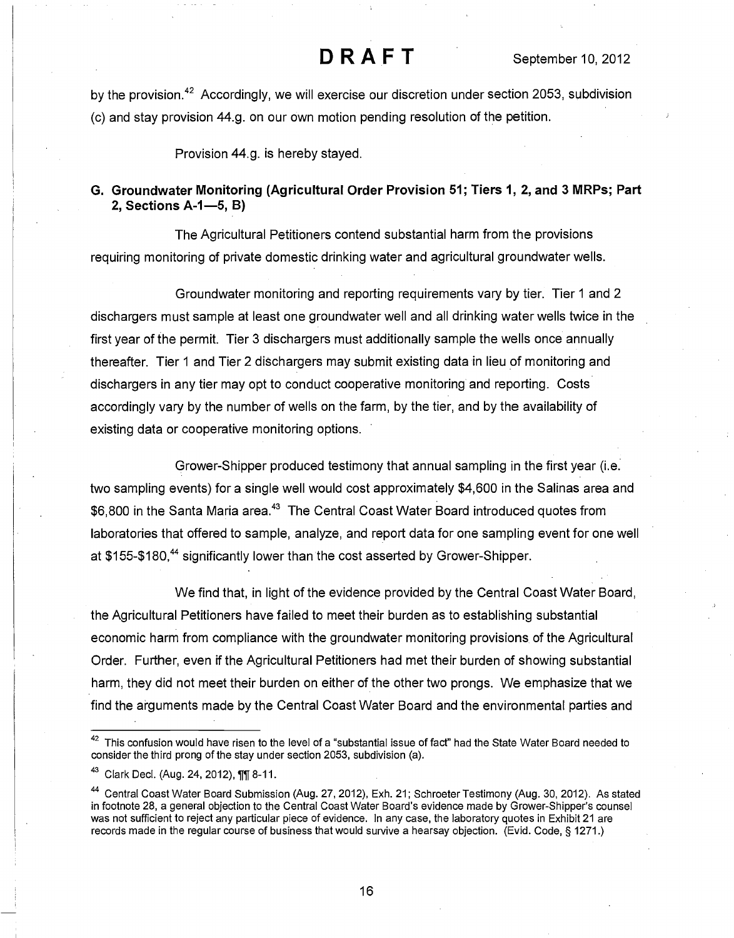by the provision.<sup>42</sup> Accordingly, we will exercise our discretion under section 2053, subdivision (c) and stay provision 44.g. on our own motion pending resolution of the petition.

Provision 44.g. is hereby stayed.

### G. Groundwater Monitoring (Agricultural Order Provision 51; Tiers 1, 2, and 3 MRPs; Part 2, Sections A-1-5, B)

The Agricultural Petitioners contend substantial harm from the provisions requiring monitoring of private domestic drinking water and agricultural groundwater wells.

Groundwater monitoring and reporting requirements vary by tier. Tier 1 and 2 dischargers must sample at least one groundwater well and all drinking water wells twice in the first year of the permit. Tier 3 dischargers must additionally sample the wells once annually thereafter. Tier 1 and Tier 2 dischargers may submit existing data in lieu of monitoring and dischargers in any tier may opt to conduct cooperative monitoring and reporting. Costs accordingly vary by the number of wells on the farm, by the tier, and by the availability of existing data or cooperative monitoring options.

Grower-Shipper produced testimony that annual sampling in the first year (i.e. two sampling events) for a single well would cost approximately \$4,600 in the Salinas area and \$6,800 in the Santa Maria area.<sup>43</sup> The Central Coast Water Board introduced quotes from laboratories that offered to sample, analyze, and report data for one sampling event for one well at \$155-\$180,<sup>44</sup> significantly lower than the cost asserted by Grower-Shipper.

We find that, in light of the evidence provided by the Central Coast Water Board, the Agricultural Petitioners have failed to meet their burden as to establishing substantial economic harm from compliance with the groundwater monitoring provisions of the Agricultural Order. Further, even if the Agricultural Petitioners had met their burden of showing substantial harm, they did not meet their burden on either of the other two prongs. We emphasize that we find the arguments made by the Central Coast Water Board and the environmental parties and

<sup>&</sup>lt;sup>42</sup> This confusion would have risen to the level of a "substantial issue of fact" had the State Water Board needed to consider the third prong of the stay under section 2053, subdivision (a).

<sup>43</sup> Clark Decl. (Aug. 24, 2012), 111 8-11.

<sup>44</sup> Central Coast Water Board Submission (Aug. 27, 2012), Exh. 21; Schroeter Testimony (Aug. 30, 2012). As stated in footnote 28, a general objection to the Central Coast Water Board's evidence made by Grower-Shipper's counsel was not sufficient to reject any particular piece of evidence. In any case, the laboratory quotes in Exhibit 21 are records made in the regular course of business that would survive a hearsay objection. (Evid. Code, § 1271.)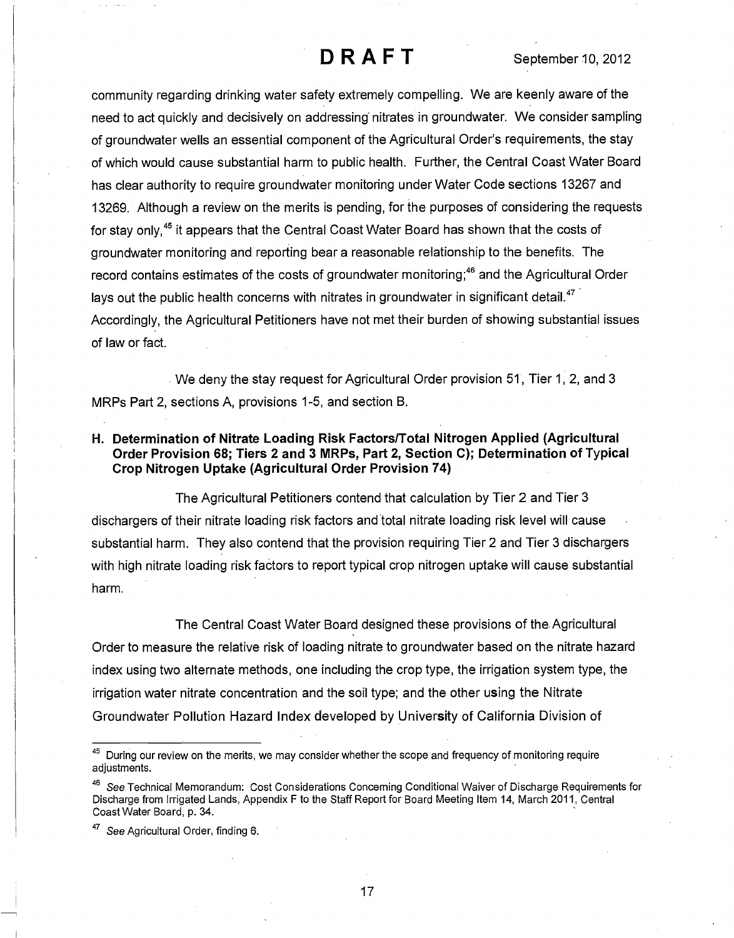community regarding drinking water safety extremely compelling. We are keenly aware of the need to act quickly and decisively on addressing nitrates in groundwater. We consider sampling of groundwater wells an essential component of the Agricultural Order's requirements, the stay of which would cause substantial harm to public health. Further, the Central Coast Water Board has clear authority to require groundwater monitoring under Water Code sections 13267 and 13269. Although a review on the merits is pending, for the purposes of considering the requests for stay only,<sup>45</sup> it appears that the Central Coast Water Board has shown that the costs of groundwater monitoring and reporting bear a reasonable relationship to the benefits. The record contains estimates of the costs of groundwater monitoring;<sup>46</sup> and the Agricultural Order lays out the public health concerns with nitrates in groundwater in significant detail.<sup>47</sup> Accordingly, the Agricultural Petitioners have not met their burden of showing substantial issues of law or fact.

We deny the stay request for Agricultural Order provision 51, Tier 1, 2, and 3 MRPs Part 2, sections A, provisions 1-5, and section B.

### H. Determination of Nitrate Loading Risk Factors/Total Nitrogen Applied (Agricultural Order Provision 68; Tiers 2 and 3 MRPs, Part 2, Section C); Determination of Typical Crop Nitrogen Uptake (Agricultural Order Provision 74)

The Agricultural Petitioners contend that calculation by Tier 2 and Tier 3 dischargers of their nitrate loading risk factors and total nitrate loading risk level will cause substantial harm. They also contend that the provision requiring Tier 2 and Tier 3 dischargers with high nitrate loading risk factors to report typical crop nitrogen uptake will cause substantial harm.

The Central Coast Water Board designed these provisions of the. Agricultural Order to measure the relative risk of loading nitrate to groundwater based on the nitrate hazard index using two alternate methods, one including the crop type, the irrigation system type, the irrigation water nitrate concentration and the soil type; and the other using the Nitrate Groundwater Pollution Hazard Index developed by University of California Division of

<sup>&</sup>lt;sup>45</sup> During our review on the merits, we may consider whether the scope and frequency of monitoring require adiustments.

<sup>&</sup>lt;sup>46</sup> See Technical Memorandum: Cost Considerations Concerning Conditional Waiver of Discharge Requirements for Discharge from Irrigated Lands, Appendix F to the Staff Report for Board Meeting Item 14, March 2011, Central Coast Water Board, p. 34.

<sup>&</sup>lt;sup>47</sup> See Agricultural Order, finding 6.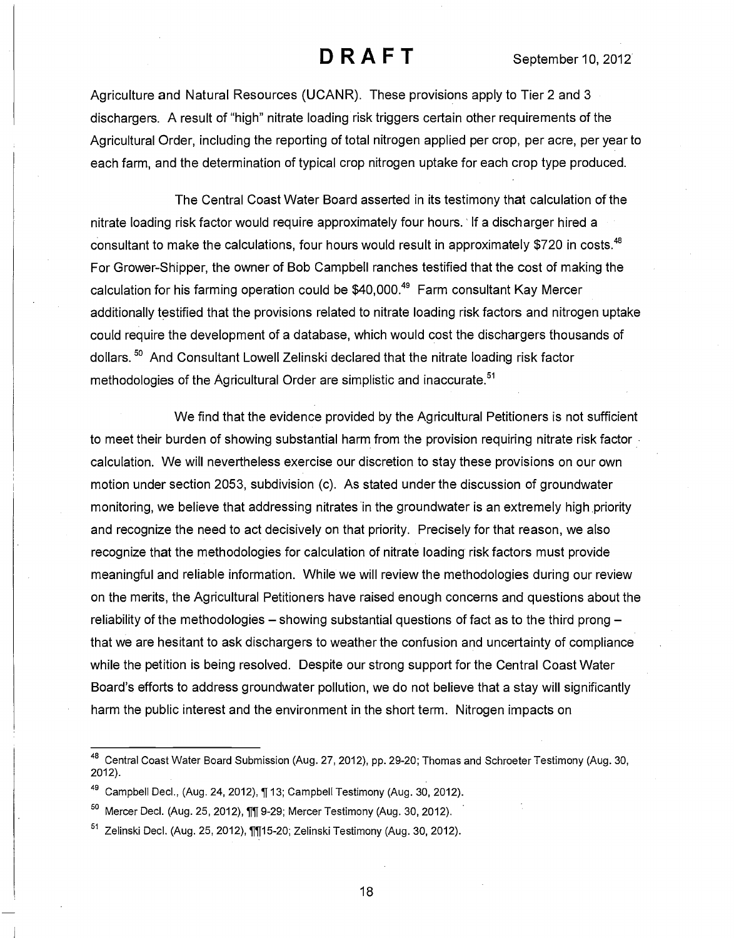Agriculture and Natural Resources (UCANR). These provisions apply to Tier 2 and 3 dischargers. A result of "high" nitrate loading risk triggers certain other requirements of the Agricultural Order, including the reporting of total nitrogen applied per crop, per acre, per year to each farm, and the determination of typical crop nitrogen uptake for each crop type produced.

The Central Coast Water Board asserted in its testimony that calculation of the nitrate loading risk factor would require approximately four hours. If a discharger hired a consultant to make the calculations, four hours would result in approximately \$720 in costs.<sup>48</sup> For Grower-Shipper, the owner of Bob Campbell ranches testified that the cost of making the calculation for his farming operation could be \$40,000.<sup>49</sup> Farm consultant Kay Mercer additionally testified that the provisions related to nitrate loading risk factors and nitrogen uptake could require the development of a database, which would cost the dischargers thousands of dollars.<sup>50</sup> And Consultant Lowell Zelinski declared that the nitrate loading risk factor methodologies of the Agricultural Order are simplistic and inaccurate.<sup>51</sup>

We find that the evidence provided by the Agricultural Petitioners is not sufficient to meet their burden of showing substantial harm from the provision requiring nitrate risk factor. calculation. We will nevertheless exercise our discretion to stay these provisions on our own motion under section 2053, subdivision (c). As stated under the discussion of groundwater monitoring, we believe that addressing nitrates in the groundwater is an extremely high priority and recognize the need to act decisively on that priority. Precisely for that reason, we also recognize that the methodologies for calculation of nitrate loading risk factors must provide meaningful and reliable information. While we will review the methodologies during our review on the merits, the Agricultural Petitioners have raised enough concerns and questions about the reliability of the methodologies  $-$  showing substantial questions of fact as to the third prong  $$ that we are hesitant to ask dischargers to weather the confusion and uncertainty of compliance while the petition is being resolved. Despite our strong support for the Central Coast Water Board's efforts to address groundwater pollution, we do not believe that a stay will significantly harm the public interest and the environment in the short term. Nitrogen impacts on

<sup>48</sup> Central Coast Water Board Submission (Aug. 27, 2012), pp. 29-20; Thomas and Schroeter Testimony (Aug. 30, 2012).

<sup>&</sup>lt;sup>49</sup> Campbell Decl., (Aug. 24, 2012), ¶ 13; Campbell Testimony (Aug. 30, 2012).

 $50$  Mercer Decl. (Aug. 25, 2012),  $\P$  $\P$  9-29; Mercer Testimony (Aug. 30, 2012).

 $51$  Zelinski Decl. (Aug. 25, 2012),  $\P$ [15-20; Zelinski Testimony (Aug. 30, 2012).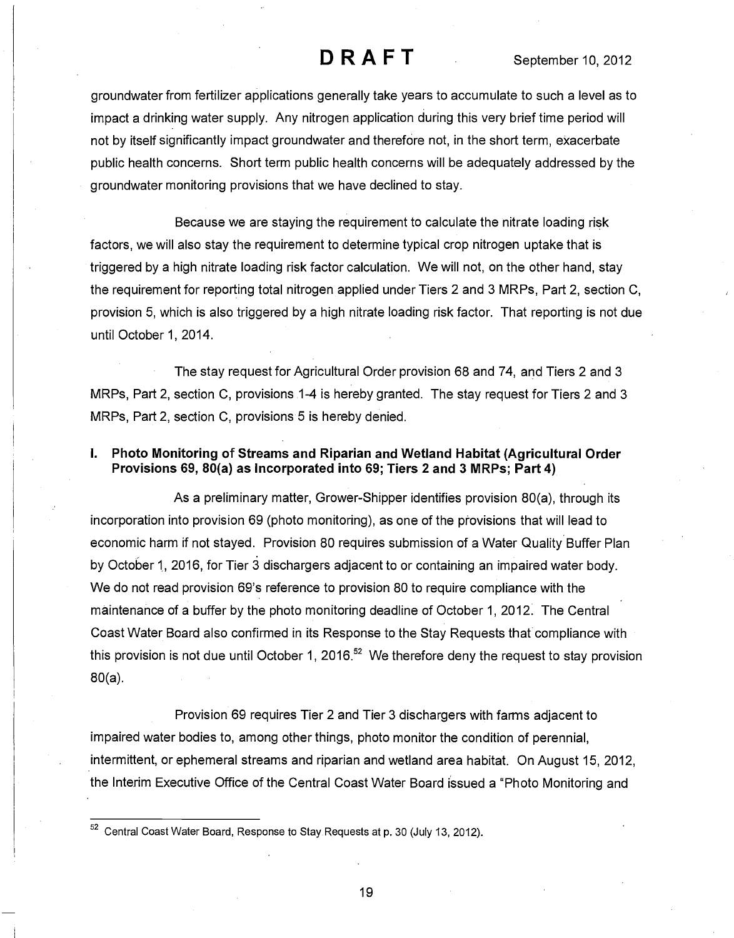groundwater from fertilizer applications generally take years to accumulate to such a level as to impact a drinking water supply. Any nitrogen application during this very brief time period will not by itself significantly impact groundwater and therefore not, in the short term, exacerbate public health concerns. Short term public health concerns will be adequately addressed by the groundwater monitoring provisions that we have declined to stay.

Because we are staying the requirement to calculate the nitrate loading risk factors, we will also stay the requirement to determine typical crop nitrogen uptake that is triggered by a high nitrate loading risk factor calculation. We will not, on the other hand, stay the requirement for reporting total nitrogen applied under Tiers 2 and 3 MRPs, Part 2, section C, provision 5, which is also triggered by a high nitrate loading risk factor. That reporting is not due until October 1, 2014.

The stay request for Agricultural Order provision 68 and 74, and Tiers 2 and 3 MRPs, Part 2, section C, provisions 1-4 is hereby granted. The stay request for Tiers 2 and 3 MRPs, Part 2, section C, provisions 5 is hereby denied.

### I. Photo Monitoring of Streams and Riparian and Wetland Habitat (Agricultural Order Provisions 69, 80(a) as Incorporated into 69; Tiers 2 and 3 MRPs; Part 4)

As a preliminary matter, Grower-Shipper identifies provision 80(a), through its incorporation into provision 69 (photo monitoring), as one of the provisions that will lead to economic harm if not stayed. Provision 80 requires submission of a Water Quality Buffer Plan by October 1, 2016, for Tier 3 dischargers adjacent to or containing an impaired water body. We do not read provision 69's reference to provision 80 to require compliance with the maintenance of a buffer by the photo monitoring deadline of October 1, 2012. The Central Coast Water Board also confirmed in its Response to the Stay Requests that compliance with this provision is not due until October 1, 2016.<sup>52</sup> We therefore deny the request to stay provision 80(a).

Provision 69 requires Tier 2 and Tier 3 dischargers with farms adjacent to impaired water bodies to, among other things, photo monitor the condition of perennial, intermittent, or ephemeral streams and riparian and wetland area habitat. On August 15, 2012, the Interim Executive Office of the Central Coast Water Board issued a "Photo Monitoring and

<sup>&</sup>lt;sup>52</sup> Central Coast Water Board, Response to Stay Requests at p. 30 (July 13, 2012).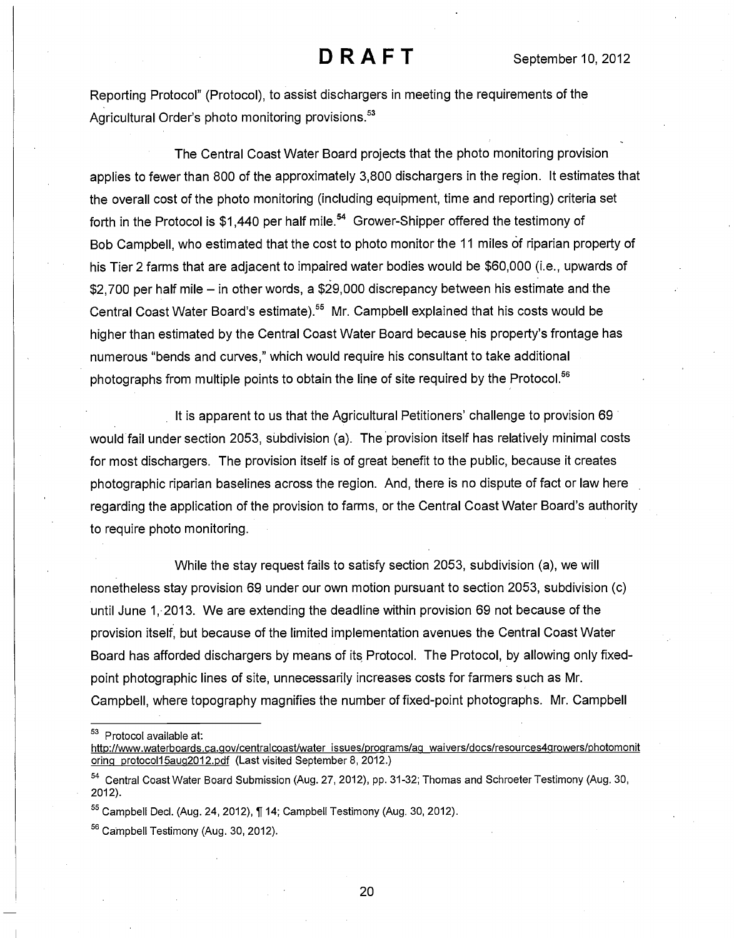Reporting Protocol" (Protocol), to assist dischargers in meeting the requirements of the Agricultural Order's photo monitoring provisions.<sup>53</sup>

The Central Coast Water Board projects that the photo monitoring provision applies to fewer than 800 of the approximately 3,800 dischargers in the region. It estimates that the overall cost of the photo monitoring (including equipment, time and reporting) criteria set forth in the Protocol is \$1,440 per half mile.<sup>54</sup> Grower-Shipper offered the testimony of Bob Campbell, who estimated that the cost to photo monitor the 11 miles of riparian property of his Tier 2 farms that are adjacent to impaired water bodies would be \$60,000 (i.e., upwards of  $$2,700$  per half mile  $-$  in other words, a  $$29,000$  discrepancy between his estimate and the Central Coast Water Board's estimate).<sup>55</sup> Mr. Campbell explained that his costs would be higher than estimated by the Central Coast Water Board because his property's frontage has numerous "bends and curves," which would require his consultant to take additional photographs from multiple points to obtain the line of site required by the Protocol.<sup>56</sup>

It is apparent to us that the Agricultural Petitioners' challenge to provision 69 would fail under section 2053, subdivision (a). The provision itself has relatively minimal costs for most dischargers. The provision itself is of great benefit to the public, because it creates photographic riparian baselines across the region. And, there is no dispute of fact or law here regarding the application of the provision to farms, or the Central Coast Water Board's authority to require photo monitoring.

While the stay request fails to satisfy section 2053, subdivision (a), we will nonetheless stay provision 69 under our own motion pursuant to section 2053, subdivision (c) until June 1, 2013. We are extending the deadline within provision 69 not because of the provision itself, but because of the limited implementation avenues the Central Coast Water Board has afforded dischargers by means of its Protocol. The Protocol, by allowing only fixedpoint photographic lines of site, unnecessarily increases costs for farmers such as Mr. Campbell, where topography magnifies the number of fixed-point photographs. Mr. Campbell

<sup>53</sup> Protocol available at:

http://www.waterboards.ca.qov/centralcoast/water issues/proqrams/ag waivers/docs/resources4growers/photomonit orinq protoco115auq2012.pdf (Last visited September 8, 2012.)

<sup>54</sup> Central Coast Water Board Submission (Aug. 27, 2012), pp. 31-32; Thomas and Schroeter Testimony (Aug. 30, 2012).

 $55$  Campbell Decl. (Aug. 24, 2012),  $\P$  14; Campbell Testimony (Aug. 30, 2012).

<sup>56</sup> Campbell Testimony (Aug. 30, 2012).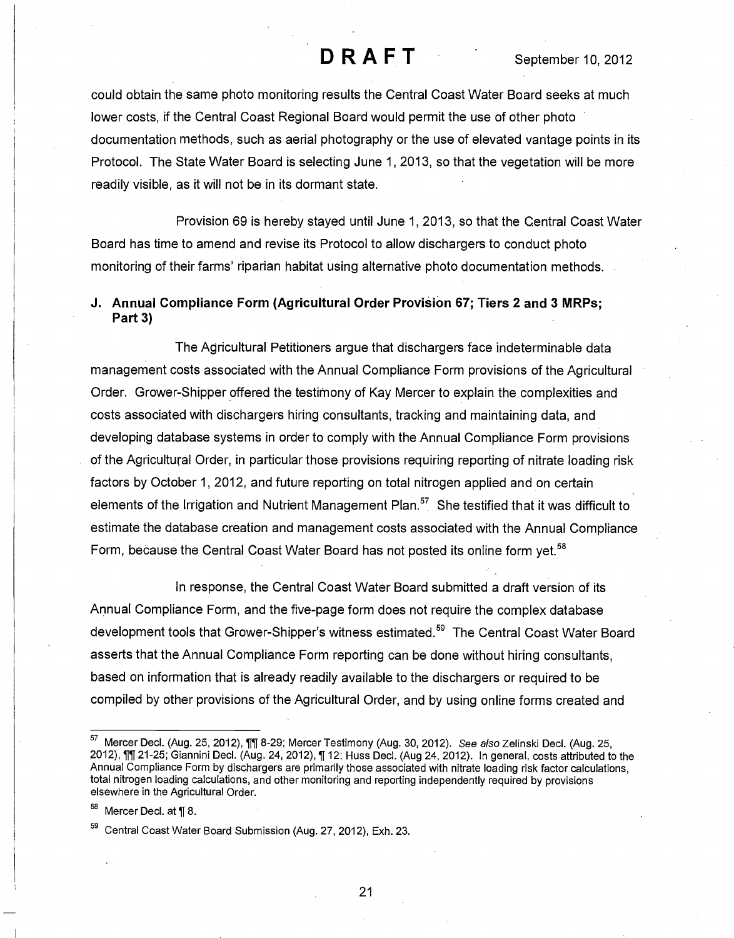could obtain the same photo monitoring results the Central Coast Water Board seeks at much lower costs, if the Central Coast Regional Board would permit the use of other photo documentation methods, such as aerial photography or the use of elevated vantage points in its Protocol. The State Water Board is selecting June 1, 2013, so that the vegetation will be more readily visible, as it will not be in its dormant state.

Provision 69 is hereby stayed until June 1, 2013, so that the Central Coast Water Board has time to amend and revise its Protocol to allow dischargers to conduct photo monitoring of their farms' riparian habitat using alternative photo documentation methods.

### J. Annual Compliance Form (Agricultural Order Provision 67; Tiers 2 and 3 MRPs; Part 3)

The Agricultural Petitioners argue that dischargers face indeterminable data management costs associated with the Annual Compliance Form provisions of the Agricultural Order. Grower-Shipper offered the testimony of Kay Mercer to explain the complexities and costs associated with dischargers hiring consultants, tracking and maintaining data, and developing database systems in order to comply with the Annual Compliance Form provisions of the Agricultural Order, in particular those provisions requiring reporting of nitrate loading risk factors by October 1, 2012, and future reporting on total nitrogen applied and on certain elements of the Irrigation and Nutrient Management Plan.<sup>57</sup> She testified that it was difficult to estimate the database creation and management costs associated with the Annual Compliance Form, because the Central Coast Water Board has not posted its online form yet.<sup>58</sup>

In response, the Central Coast Water Board submitted a draft version of its Annual Compliance Form, and the five-page form does not require the complex database development tools that Grower-Shipper's witness estimated.<sup>59</sup> The Central Coast Water Board asserts that the Annual Compliance Form reporting can be done without hiring consultants, based on information that is already readily available to the dischargers or required to be compiled by other provisions of the Agricultural Order, and by using online forms created and

 $58$  Mercer Decl. at  $\P$  8.

<sup>57</sup> Mercer Decl. (Aug. 25, 2012), 11 8-29; Mercer Testimony (Aug. 30, 2012). See also Zelinski Decl. (Aug. 25, 2012), Ill 21-25; Giannini Decl. (Aug. 24, 2012), Il 12; Huss Decl. (Aug 24, 2012). In general, costs attributed to the Annual Compliance Form by dischargers are primarily those associated with nitrate loading risk factor calculations, total nitrogen loading calculations, and other monitoring and reporting independently required by provisions elsewhere in the Agricultural Order.

<sup>&</sup>lt;sup>59</sup> Central Coast Water Board Submission (Aug. 27, 2012), Exh. 23.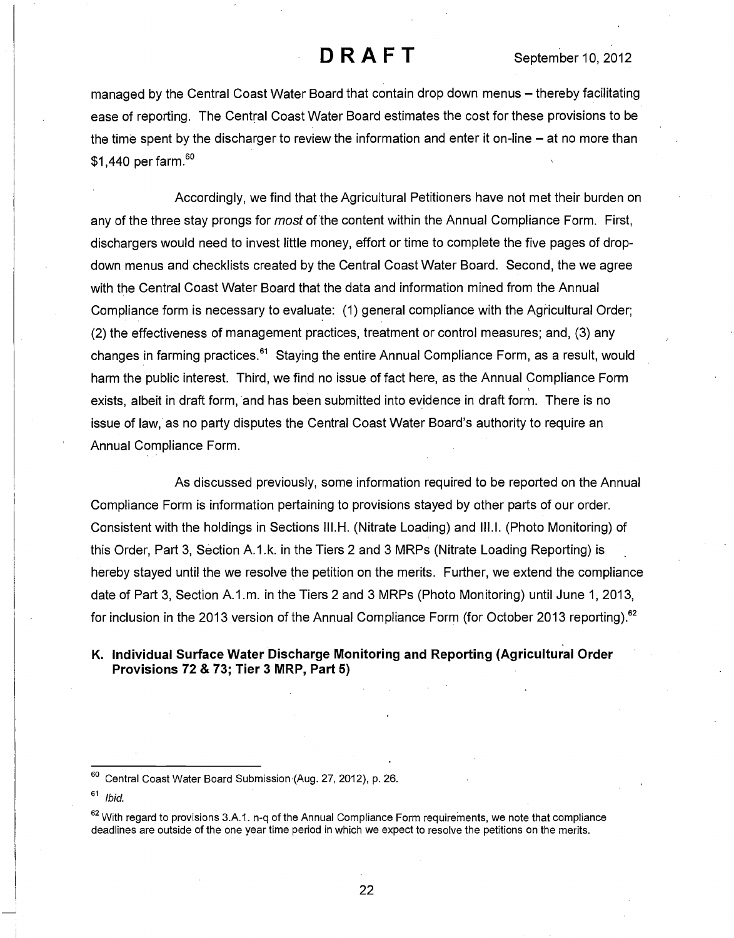managed by the Central Coast Water Board that contain drop down menus – thereby facilitating ease of reporting. The Central Coast Water Board estimates the cost for these provisions to be the time spent by the discharger to review the information and enter it on-line  $-$  at no more than \$1,440 per farm.<sup>60</sup>

Accordingly, we find that the Agricultural Petitioners have not met their burden on any of the three stay prongs for *most* of the content within the Annual Compliance Form. First, dischargers would need to invest little money, effort or time to complete the five pages of dropdown menus and checklists created by the Central Coast Water Board. Second, the we agree with the Central Coast Water Board that the data and information mined from the Annual Compliance form is necessary to evaluate: (1) general compliance with the Agricultural Order; (2) the effectiveness of management practices, treatment or control measures; and, (3) any changes in farming practices.<sup>61</sup> Staying the entire Annual Compliance Form, as a result, would harm the public interest. Third, we find no issue of fact here, as the Annual Compliance Form exists, albeit in draft form, and has been submitted into evidence in draft form. There is no issue of law, as no party disputes the Central Coast Water Board's authority to require an Annual Compliance Form.

As discussed previously, some information required to be reported on the Annual Compliance Form is information pertaining to provisions stayed by other parts of our order. Consistent with the holdings in Sections III.H. (Nitrate Loading) and 111.1. (Photo Monitoring) of this Order, Part 3, Section A.1.k. in the Tiers 2 and 3 MRPs (Nitrate Loading Reporting) is hereby stayed until the we resolve the petition on the merits. Further, we extend the compliance date of Part 3, Section A.1.m. in the Tiers 2 and 3 MRPs (Photo Monitoring) until June 1, 2013, for inclusion in the 2013 version of the Annual Compliance Form (for October 2013 reporting).<sup>62</sup>

### K. Individual Surface Water Discharge Monitoring and Reporting (Agricultural Order Provisions 72 & 73; Tier 3 MRP, Part 5)

<sup>6°</sup> Central Coast Water Board Submission (Aug. 27, 2012), p. 26.

 $61$  Ibid.

 $62$  With regard to provisions 3.A.1. n-q of the Annual Compliance Form requirements, we note that compliance deadlines are outside of the one year time period in which we expect to resolve the petitions on the merits.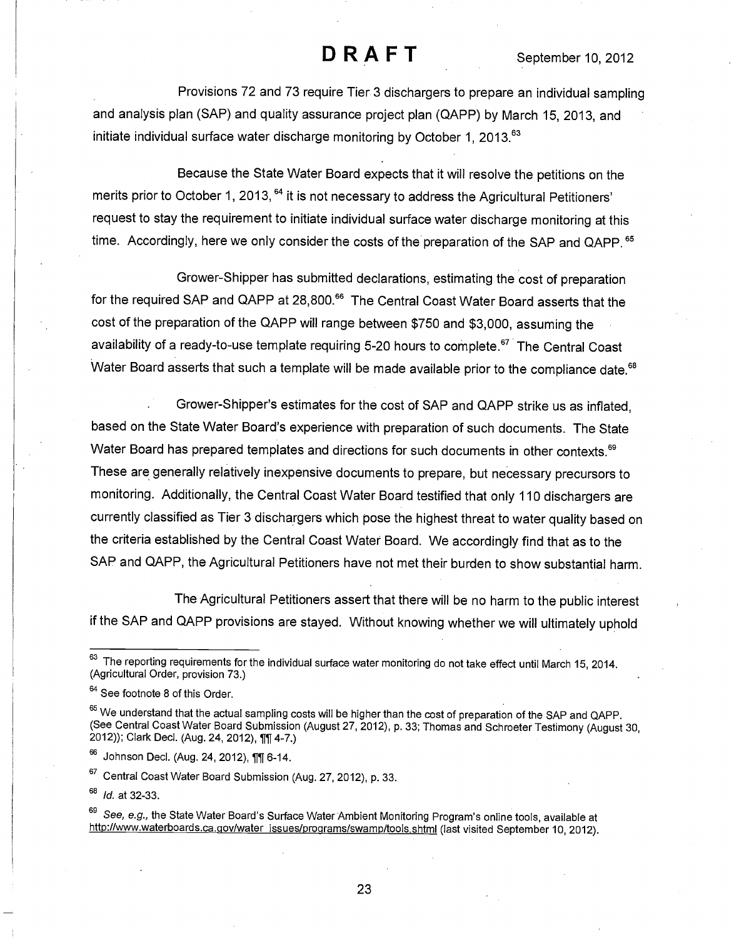Provisions 72 and 73 require Tier 3 dischargers to prepare an individual sampling and analysis plan (SAP) and quality assurance project plan (QAPP) by March 15, 2013, and initiate individual surface water discharge monitoring by October 1, 2013. $<sup>63</sup>$ </sup>

Because the State Water Board expects that it will resolve the petitions on the merits prior to October 1, 2013, <sup>64</sup> it is not necessary to address the Agricultural Petitioners' request to stay the requirement to initiate individual surface water discharge monitoring at this time. Accordingly, here we only consider the costs of the preparation of the SAP and QAPP.<sup>65</sup>

Grower-Shipper has submitted declarations, estimating the cost of preparation for the required SAP and QAPP at 28,800.<sup>66</sup> The Central Coast Water Board asserts that the cost of the preparation of the QAPP will range between \$750 and \$3,000, assuming the availability of a ready-to-use template requiring 5-20 hours to complete.<sup>67</sup> The Central Coast Water Board asserts that such a template will be made available prior to the compliance date.<sup>68</sup>

. Grower-Shipper's estimates for the cost of SAP and QAPP strike us as inflated, based on the State Water Board's experience with preparation of such documents. The State Water Board has prepared templates and directions for such documents in other contexts.<sup>69</sup> These are generally relatively inexpensive documents to prepare, but necessary precursors to monitoring. Additionally, the Central Coast Water Board testified that only 110 dischargers are currently classified as Tier 3 dischargers which pose the highest threat to water quality based on the criteria established by the Central Coast Water Board. We accordingly find that as to the SAP and QAPP, the Agricultural Petitioners have not met their burden to show substantial harm.

The Agricultural Petitioners assert that there will be no harm to the public interest if the SAP and QAPP provisions are stayed. Without knowing whether we will ultimately uphold

<sup>67</sup> Central Coast Water Board Submission (Aug. 27, 2012), p. 33.

68 Id. at 32-33.

<sup>63</sup> The reporting requirements for the individual surface water monitoring do not take effect until March 15, 2014. (Agricultural Order, provision 73.)

<sup>64</sup> See footnote 8 of this Order.

<sup>&</sup>lt;sup>65</sup> We understand that the actual sampling costs will be higher than the cost of preparation of the SAP and QAPP. (See Central Coast Water Board Submission (August 27, 2012), p. 33; Thomas and Schroeter Testimony (August 30, 2012)); Clark Decl. (Aug. 24, 2012), 111 4-7.)

<sup>&</sup>lt;sup>66</sup> Johnson Decl. (Aug. 24, 2012), 111 6-14.

<sup>&</sup>lt;sup>69</sup> *See, e.g.,* the State Water Board's Surface Water Ambient Monitoring Program's online tools, available at http://www.waterboards.ca.gov/water issues/programs/swamp/tools.shtml (last visited September 10, 2012).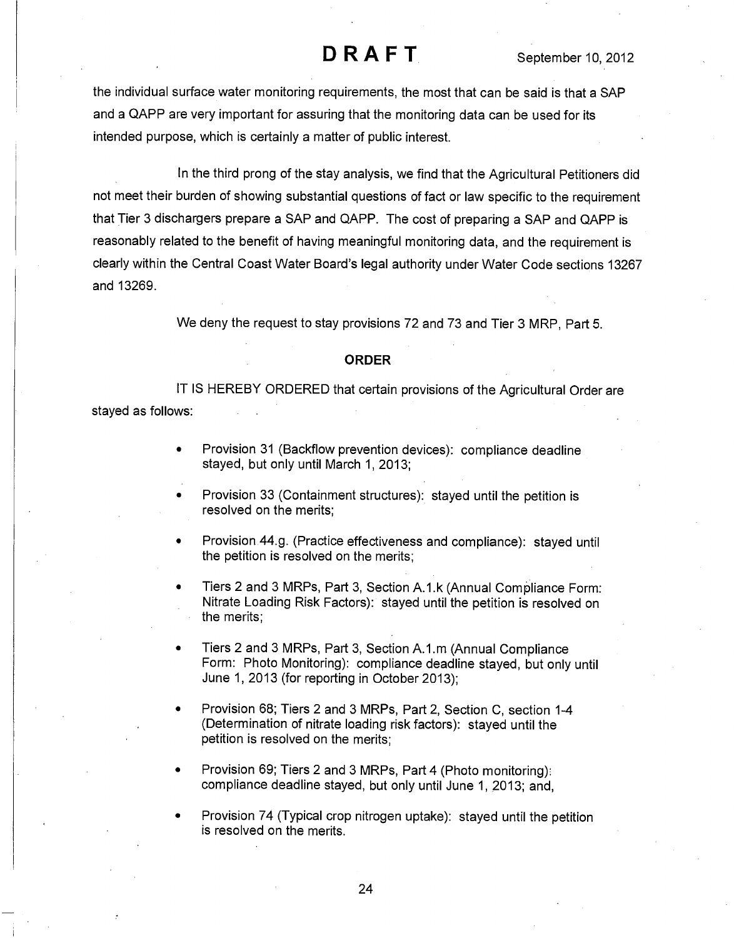the individual surface water monitoring requirements, the most that can be said is that a SAP and a QAPP are very important for assuring that the monitoring data can be used for its intended purpose, which is certainly a matter of public interest.

In the third prong of the stay analysis, we find that the Agricultural Petitioners did not meet their burden of showing substantial questions of fact or law specific to the requirement that Tier 3 dischargers prepare a SAP and QAPP. The cost of preparing a SAP and QAPP is reasonably related to the benefit of having meaningful monitoring data, and the requirement is clearly within the Central Coast Water Board's legal authority under Water Code sections 13267 and 13269.

We deny the request to stay provisions 72 and 73 and Tier 3 MRP, Part 5.

#### ORDER

IT IS HEREBY ORDERED that certain provisions of the Agricultural Order are stayed as follows:

- Provision 31 (Backflow prevention devices): compliance deadline stayed, but only until March 1, 2013;
- Provision 33 (Containment structures): stayed until the petition is resolved on the merits;
- Provision 44.g. (Practice effectiveness and compliance): stayed until the petition is resolved on the merits;
- Tiers 2 and 3 MRPs, Part 3, Section A.1.k (Annual Compliance Form: Nitrate Loading Risk Factors): stayed until the petition is resolved on the merits;
- Tiers 2 and 3 MRPs, Part 3, Section A.1.m (Annual Compliance Form: Photo Monitoring): compliance deadline stayed, but only until June 1, 2013 (for reporting in October 2013);
- Provision 68; Tiers 2 and 3 MRPs, Part 2, Section C, section 1-4 (Determination of nitrate loading risk factors): stayed until the petition is resolved on the merits;
- Provision 69; Tiers 2 and 3 MRPs, Part 4 (Photo monitoring): compliance deadline stayed, but only until June 1, 2013; and,

Provision 74 (Typical crop nitrogen uptake): stayed until the petition is resolved on the merits.